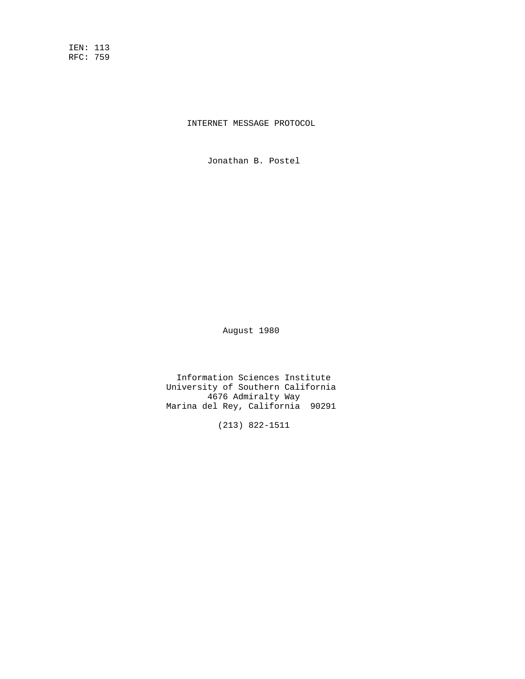IEN: 113 RFC: 759

INTERNET MESSAGE PROTOCOL

Jonathan B. Postel

August 1980

 Information Sciences Institute University of Southern California 4676 Admiralty Way Marina del Rey, California 90291

(213) 822-1511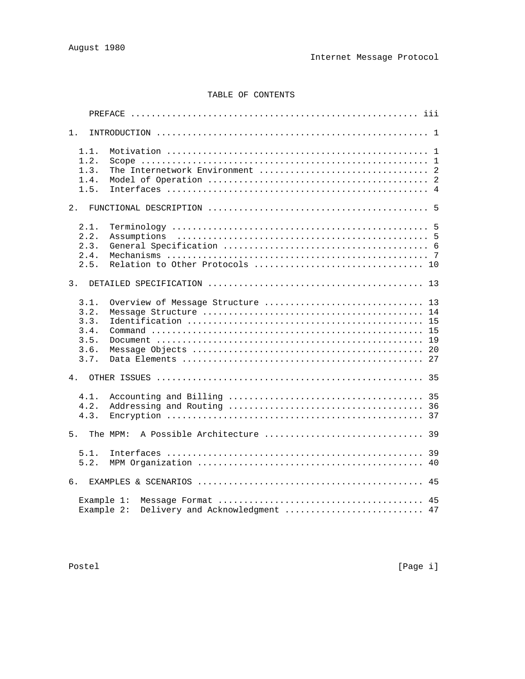# TABLE OF CONTENTS

| 1.    |                                                      |                                                             |    |
|-------|------------------------------------------------------|-------------------------------------------------------------|----|
|       | 1.1.<br>1.2.<br>1.3.<br>1.4.<br>1.5.                 |                                                             |    |
| $2$ . |                                                      |                                                             |    |
|       | 2.1.<br>2.2.<br>2.3.<br>2.4.<br>2.5.                 |                                                             |    |
| 3.    |                                                      |                                                             |    |
|       | 3.1.<br>3.2.<br>3.3.<br>3.4.<br>3.5.<br>3.6.<br>3.7. | Overview of Message Structure  13                           | 14 |
| 4.    |                                                      |                                                             |    |
|       | 4.1.<br>4.2.<br>4.3.                                 |                                                             |    |
| 5.    |                                                      |                                                             |    |
|       | 5.1.<br>5.2.                                         |                                                             |    |
| б.    |                                                      |                                                             |    |
|       |                                                      | Example 1:<br>Example 2:<br>Delivery and Acknowledgment  47 |    |

Postel [Page i]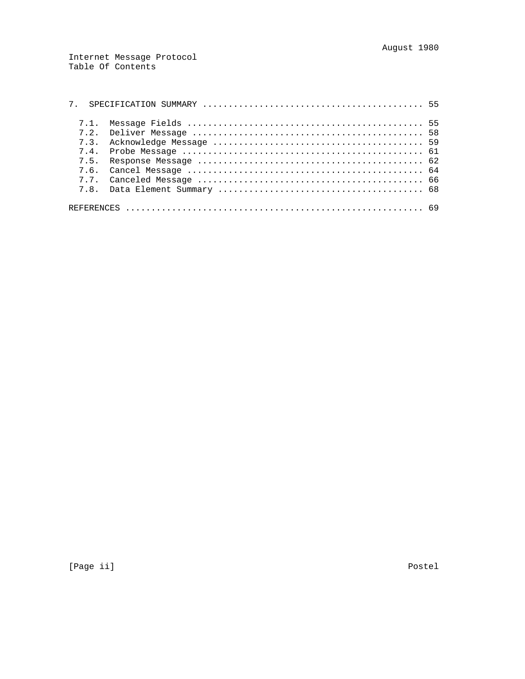Internet Message Protocol Table Of Contents

| 7 1 |  |  |  |
|-----|--|--|--|
| 7 2 |  |  |  |
| 73  |  |  |  |
| 74  |  |  |  |
| 75  |  |  |  |
| 76  |  |  |  |
| 77  |  |  |  |
| 7 R |  |  |  |
|     |  |  |  |
|     |  |  |  |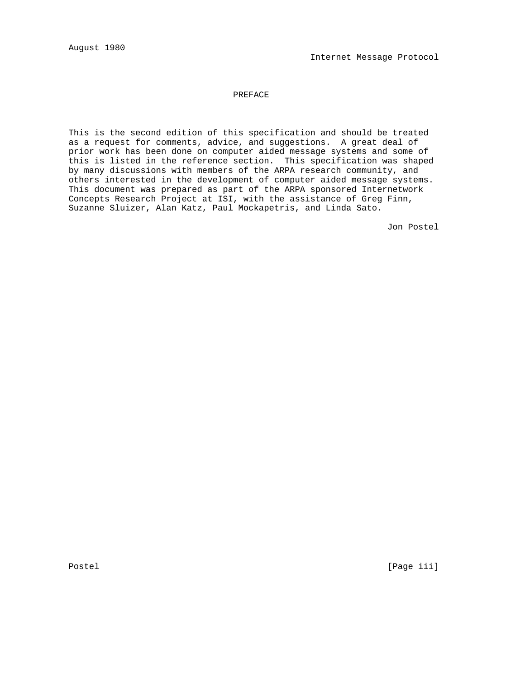# PREFACE

This is the second edition of this specification and should be treated as a request for comments, advice, and suggestions. A great deal of prior work has been done on computer aided message systems and some of this is listed in the reference section. This specification was shaped by many discussions with members of the ARPA research community, and others interested in the development of computer aided message systems. This document was prepared as part of the ARPA sponsored Internetwork Concepts Research Project at ISI, with the assistance of Greg Finn, Suzanne Sluizer, Alan Katz, Paul Mockapetris, and Linda Sato.

Jon Postel

Postel [Page iii]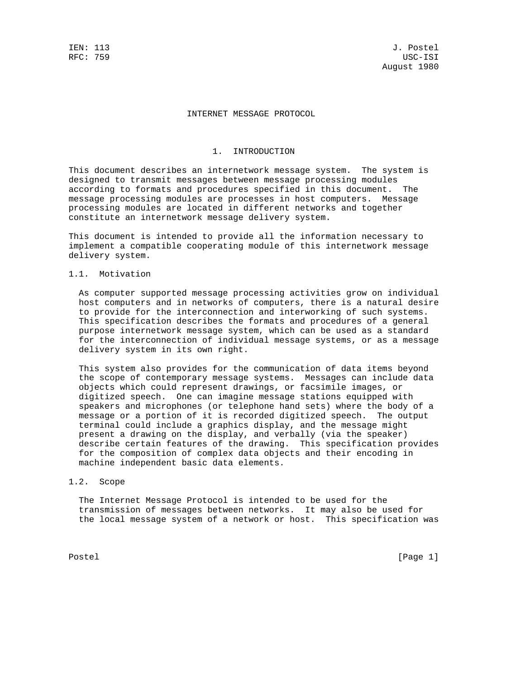### INTERNET MESSAGE PROTOCOL

### 1. INTRODUCTION

This document describes an internetwork message system. The system is designed to transmit messages between message processing modules according to formats and procedures specified in this document. The message processing modules are processes in host computers. Message processing modules are located in different networks and together constitute an internetwork message delivery system.

This document is intended to provide all the information necessary to implement a compatible cooperating module of this internetwork message delivery system.

# 1.1. Motivation

 As computer supported message processing activities grow on individual host computers and in networks of computers, there is a natural desire to provide for the interconnection and interworking of such systems. This specification describes the formats and procedures of a general purpose internetwork message system, which can be used as a standard for the interconnection of individual message systems, or as a message delivery system in its own right.

 This system also provides for the communication of data items beyond the scope of contemporary message systems. Messages can include data objects which could represent drawings, or facsimile images, or digitized speech. One can imagine message stations equipped with speakers and microphones (or telephone hand sets) where the body of a message or a portion of it is recorded digitized speech. The output terminal could include a graphics display, and the message might present a drawing on the display, and verbally (via the speaker) describe certain features of the drawing. This specification provides for the composition of complex data objects and their encoding in machine independent basic data elements.

# 1.2. Scope

 The Internet Message Protocol is intended to be used for the transmission of messages between networks. It may also be used for the local message system of a network or host. This specification was

Postel [Page 1] [Page 1]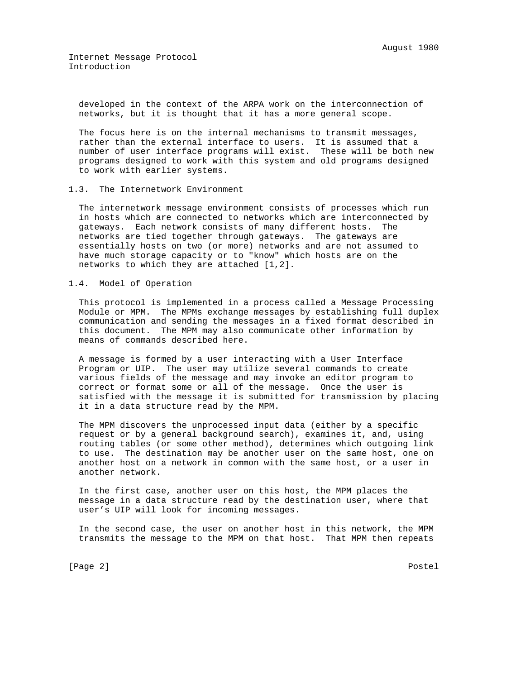Internet Message Protocol Introduction

 developed in the context of the ARPA work on the interconnection of networks, but it is thought that it has a more general scope.

 The focus here is on the internal mechanisms to transmit messages, rather than the external interface to users. It is assumed that a number of user interface programs will exist. These will be both new programs designed to work with this system and old programs designed to work with earlier systems.

#### 1.3. The Internetwork Environment

 The internetwork message environment consists of processes which run in hosts which are connected to networks which are interconnected by gateways. Each network consists of many different hosts. The networks are tied together through gateways. The gateways are essentially hosts on two (or more) networks and are not assumed to have much storage capacity or to "know" which hosts are on the networks to which they are attached [1,2].

# 1.4. Model of Operation

 This protocol is implemented in a process called a Message Processing Module or MPM. The MPMs exchange messages by establishing full duplex communication and sending the messages in a fixed format described in this document. The MPM may also communicate other information by means of commands described here.

 A message is formed by a user interacting with a User Interface Program or UIP. The user may utilize several commands to create various fields of the message and may invoke an editor program to correct or format some or all of the message. Once the user is satisfied with the message it is submitted for transmission by placing it in a data structure read by the MPM.

 The MPM discovers the unprocessed input data (either by a specific request or by a general background search), examines it, and, using routing tables (or some other method), determines which outgoing link to use. The destination may be another user on the same host, one on another host on a network in common with the same host, or a user in another network.

 In the first case, another user on this host, the MPM places the message in a data structure read by the destination user, where that user's UIP will look for incoming messages.

 In the second case, the user on another host in this network, the MPM transmits the message to the MPM on that host. That MPM then repeats

[Page 2] Postel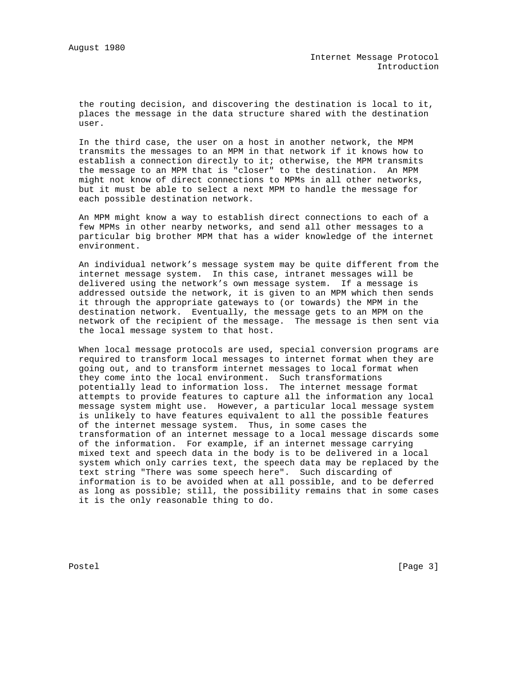the routing decision, and discovering the destination is local to it, places the message in the data structure shared with the destination user.

 In the third case, the user on a host in another network, the MPM transmits the messages to an MPM in that network if it knows how to establish a connection directly to it; otherwise, the MPM transmits the message to an MPM that is "closer" to the destination. An MPM might not know of direct connections to MPMs in all other networks, but it must be able to select a next MPM to handle the message for each possible destination network.

 An MPM might know a way to establish direct connections to each of a few MPMs in other nearby networks, and send all other messages to a particular big brother MPM that has a wider knowledge of the internet environment.

 An individual network's message system may be quite different from the internet message system. In this case, intranet messages will be delivered using the network's own message system. If a message is addressed outside the network, it is given to an MPM which then sends it through the appropriate gateways to (or towards) the MPM in the destination network. Eventually, the message gets to an MPM on the network of the recipient of the message. The message is then sent via the local message system to that host.

 When local message protocols are used, special conversion programs are required to transform local messages to internet format when they are going out, and to transform internet messages to local format when they come into the local environment. Such transformations potentially lead to information loss. The internet message format attempts to provide features to capture all the information any local message system might use. However, a particular local message system is unlikely to have features equivalent to all the possible features of the internet message system. Thus, in some cases the transformation of an internet message to a local message discards some of the information. For example, if an internet message carrying mixed text and speech data in the body is to be delivered in a local system which only carries text, the speech data may be replaced by the text string "There was some speech here". Such discarding of information is to be avoided when at all possible, and to be deferred as long as possible; still, the possibility remains that in some cases it is the only reasonable thing to do.

Postel [Page 3]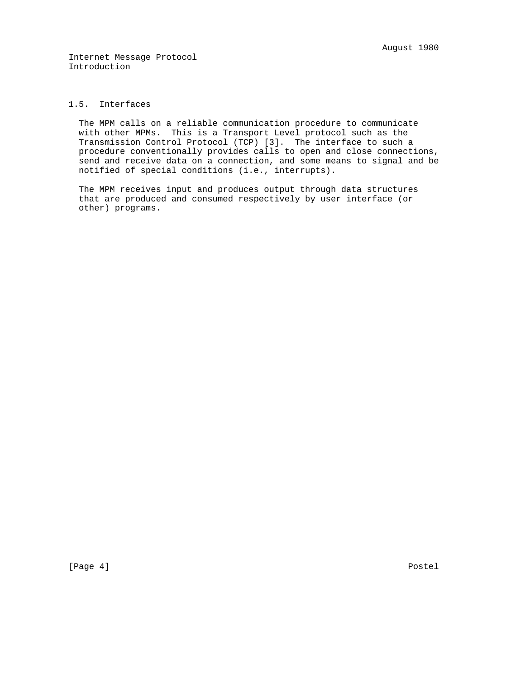Internet Message Protocol Introduction

# 1.5. Interfaces

 The MPM calls on a reliable communication procedure to communicate with other MPMs. This is a Transport Level protocol such as the Transmission Control Protocol (TCP) [3]. The interface to such a procedure conventionally provides calls to open and close connections, send and receive data on a connection, and some means to signal and be notified of special conditions (i.e., interrupts).

 The MPM receives input and produces output through data structures that are produced and consumed respectively by user interface (or other) programs.

[Page 4] Postel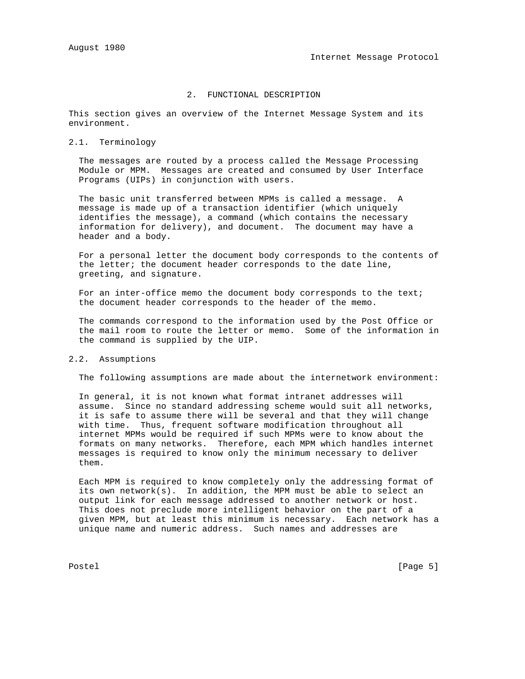# 2. FUNCTIONAL DESCRIPTION

This section gives an overview of the Internet Message System and its environment.

# 2.1. Terminology

 The messages are routed by a process called the Message Processing Module or MPM. Messages are created and consumed by User Interface Programs (UIPs) in conjunction with users.

 The basic unit transferred between MPMs is called a message. A message is made up of a transaction identifier (which uniquely identifies the message), a command (which contains the necessary information for delivery), and document. The document may have a header and a body.

 For a personal letter the document body corresponds to the contents of the letter; the document header corresponds to the date line, greeting, and signature.

For an inter-office memo the document body corresponds to the text; the document header corresponds to the header of the memo.

 The commands correspond to the information used by the Post Office or the mail room to route the letter or memo. Some of the information in the command is supplied by the UIP.

### 2.2. Assumptions

The following assumptions are made about the internetwork environment:

 In general, it is not known what format intranet addresses will assume. Since no standard addressing scheme would suit all networks, it is safe to assume there will be several and that they will change with time. Thus, frequent software modification throughout all internet MPMs would be required if such MPMs were to know about the formats on many networks. Therefore, each MPM which handles internet messages is required to know only the minimum necessary to deliver them.

 Each MPM is required to know completely only the addressing format of its own network(s). In addition, the MPM must be able to select an output link for each message addressed to another network or host. This does not preclude more intelligent behavior on the part of a given MPM, but at least this minimum is necessary. Each network has a unique name and numeric address. Such names and addresses are

Postel [Page 5]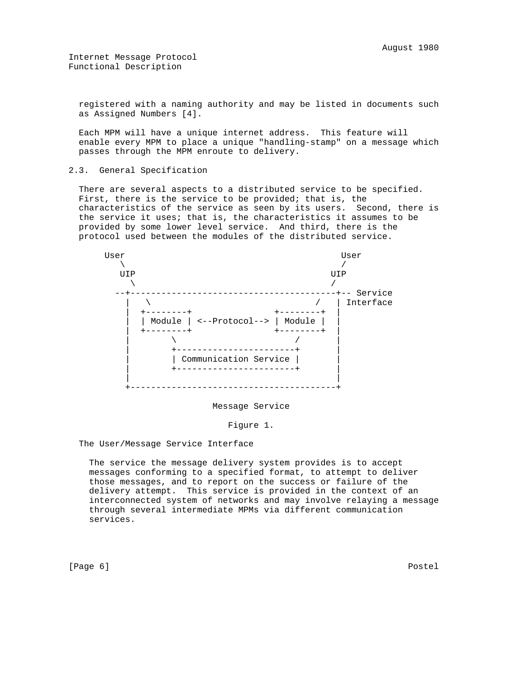Internet Message Protocol Functional Description

 registered with a naming authority and may be listed in documents such as Assigned Numbers [4].

 Each MPM will have a unique internet address. This feature will enable every MPM to place a unique "handling-stamp" on a message which passes through the MPM enroute to delivery.

2.3. General Specification

 There are several aspects to a distributed service to be specified. First, there is the service to be provided; that is, the characteristics of the service as seen by its users. Second, there is the service it uses; that is, the characteristics it assumes to be provided by some lower level service. And third, there is the protocol used between the modules of the distributed service.



#### Message Service

### Figure 1.

The User/Message Service Interface

 The service the message delivery system provides is to accept messages conforming to a specified format, to attempt to deliver those messages, and to report on the success or failure of the delivery attempt. This service is provided in the context of an interconnected system of networks and may involve relaying a message through several intermediate MPMs via different communication services.

[Page 6] Postel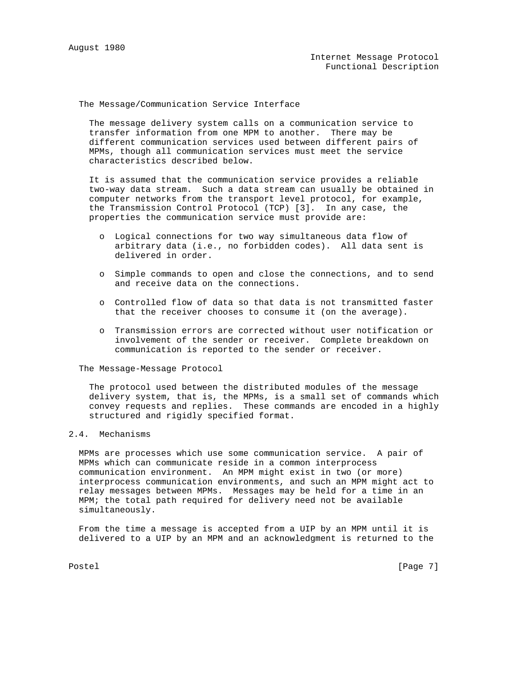The Message/Communication Service Interface

 The message delivery system calls on a communication service to transfer information from one MPM to another. There may be different communication services used between different pairs of MPMs, though all communication services must meet the service characteristics described below.

 It is assumed that the communication service provides a reliable two-way data stream. Such a data stream can usually be obtained in computer networks from the transport level protocol, for example, the Transmission Control Protocol (TCP) [3]. In any case, the properties the communication service must provide are:

- o Logical connections for two way simultaneous data flow of arbitrary data (i.e., no forbidden codes). All data sent is delivered in order.
- o Simple commands to open and close the connections, and to send and receive data on the connections.
- o Controlled flow of data so that data is not transmitted faster that the receiver chooses to consume it (on the average).
- o Transmission errors are corrected without user notification or involvement of the sender or receiver. Complete breakdown on communication is reported to the sender or receiver.

The Message-Message Protocol

 The protocol used between the distributed modules of the message delivery system, that is, the MPMs, is a small set of commands which convey requests and replies. These commands are encoded in a highly structured and rigidly specified format.

# 2.4. Mechanisms

 MPMs are processes which use some communication service. A pair of MPMs which can communicate reside in a common interprocess communication environment. An MPM might exist in two (or more) interprocess communication environments, and such an MPM might act to relay messages between MPMs. Messages may be held for a time in an MPM; the total path required for delivery need not be available simultaneously.

 From the time a message is accepted from a UIP by an MPM until it is delivered to a UIP by an MPM and an acknowledgment is returned to the

Postel [Page 7]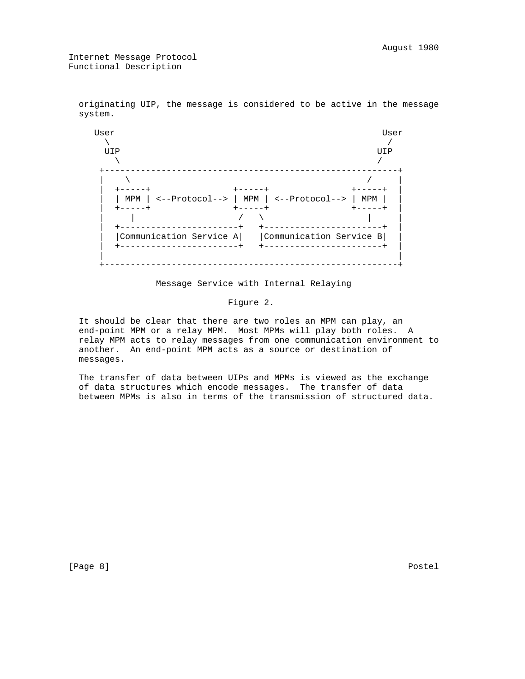originating UIP, the message is considered to be active in the message system.



# Message Service with Internal Relaying

# Figure 2.

 It should be clear that there are two roles an MPM can play, an end-point MPM or a relay MPM. Most MPMs will play both roles. A relay MPM acts to relay messages from one communication environment to another. An end-point MPM acts as a source or destination of messages.

 The transfer of data between UIPs and MPMs is viewed as the exchange of data structures which encode messages. The transfer of data between MPMs is also in terms of the transmission of structured data.

[Page 8] Postel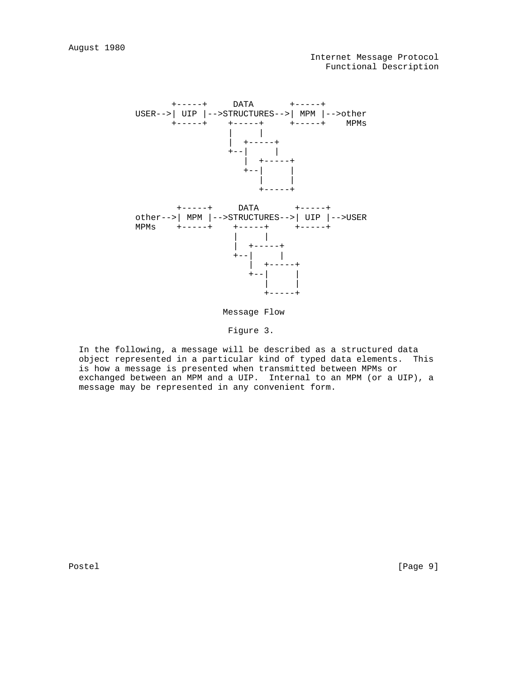

Message Flow

Figure 3.

 In the following, a message will be described as a structured data object represented in a particular kind of typed data elements. This is how a message is presented when transmitted between MPMs or exchanged between an MPM and a UIP. Internal to an MPM (or a UIP), a message may be represented in any convenient form.

Postel [Page 9]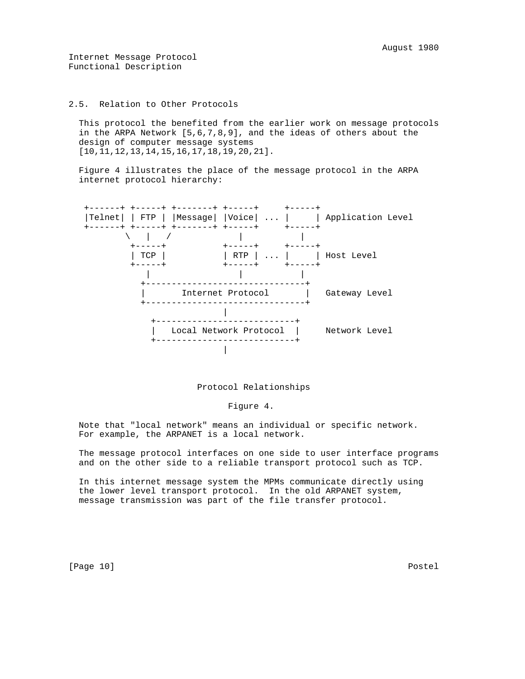Internet Message Protocol Functional Description

# 2.5. Relation to Other Protocols

 This protocol the benefited from the earlier work on message protocols in the ARPA Network [5,6,7,8,9], and the ideas of others about the design of computer message systems [10,11,12,13,14,15,16,17,18,19,20,21].

 Figure 4 illustrates the place of the message protocol in the ARPA internet protocol hierarchy:



Protocol Relationships

# Figure 4.

 Note that "local network" means an individual or specific network. For example, the ARPANET is a local network.

 The message protocol interfaces on one side to user interface programs and on the other side to a reliable transport protocol such as TCP.

 In this internet message system the MPMs communicate directly using the lower level transport protocol. In the old ARPANET system, message transmission was part of the file transfer protocol.

[Page 10] Postel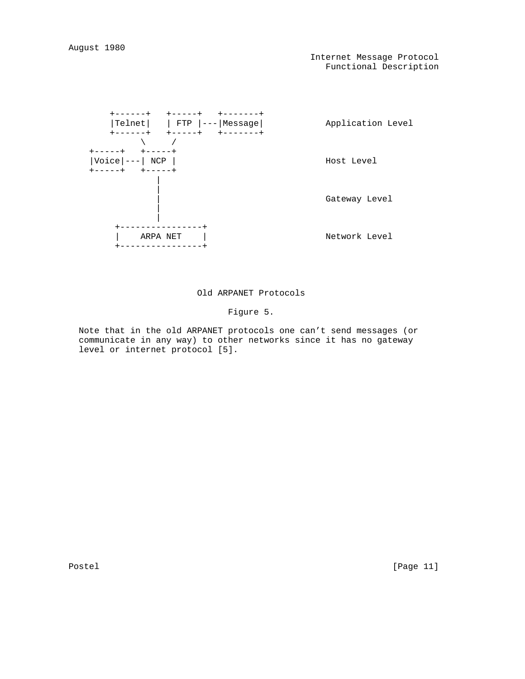

# Old ARPANET Protocols

### Figure 5.

 Note that in the old ARPANET protocols one can't send messages (or communicate in any way) to other networks since it has no gateway level or internet protocol [5].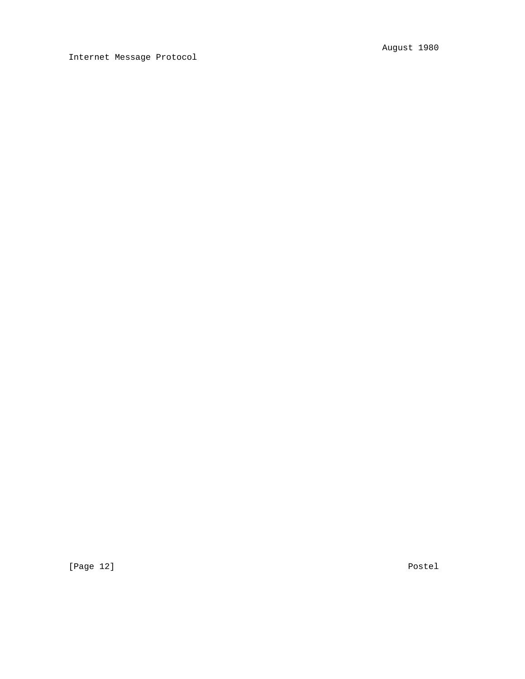August 1980

Internet Message Protocol

[Page 12] Postel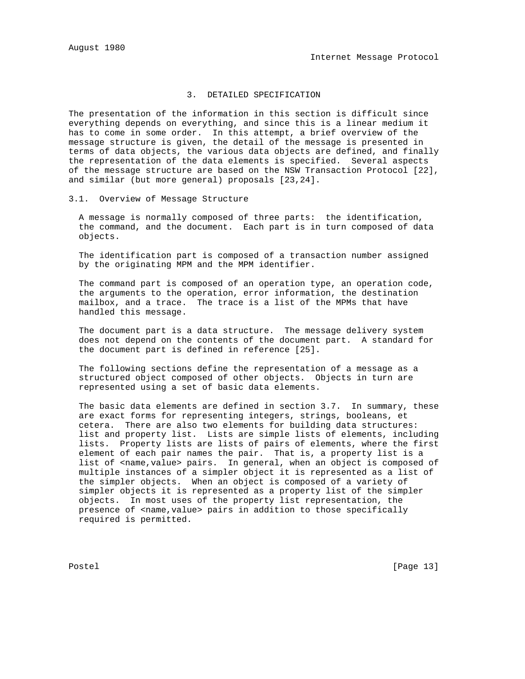# 3. DETAILED SPECIFICATION

The presentation of the information in this section is difficult since everything depends on everything, and since this is a linear medium it has to come in some order. In this attempt, a brief overview of the message structure is given, the detail of the message is presented in terms of data objects, the various data objects are defined, and finally the representation of the data elements is specified. Several aspects of the message structure are based on the NSW Transaction Protocol [22], and similar (but more general) proposals [23,24].

#### 3.1. Overview of Message Structure

 A message is normally composed of three parts: the identification, the command, and the document. Each part is in turn composed of data objects.

 The identification part is composed of a transaction number assigned by the originating MPM and the MPM identifier.

 The command part is composed of an operation type, an operation code, the arguments to the operation, error information, the destination mailbox, and a trace. The trace is a list of the MPMs that have handled this message.

 The document part is a data structure. The message delivery system does not depend on the contents of the document part. A standard for the document part is defined in reference [25].

 The following sections define the representation of a message as a structured object composed of other objects. Objects in turn are represented using a set of basic data elements.

 The basic data elements are defined in section 3.7. In summary, these are exact forms for representing integers, strings, booleans, et cetera. There are also two elements for building data structures: list and property list. Lists are simple lists of elements, including lists. Property lists are lists of pairs of elements, where the first element of each pair names the pair. That is, a property list is a list of <name,value> pairs. In general, when an object is composed of multiple instances of a simpler object it is represented as a list of the simpler objects. When an object is composed of a variety of simpler objects it is represented as a property list of the simpler objects. In most uses of the property list representation, the presence of <name,value> pairs in addition to those specifically required is permitted.

Postel [Page 13]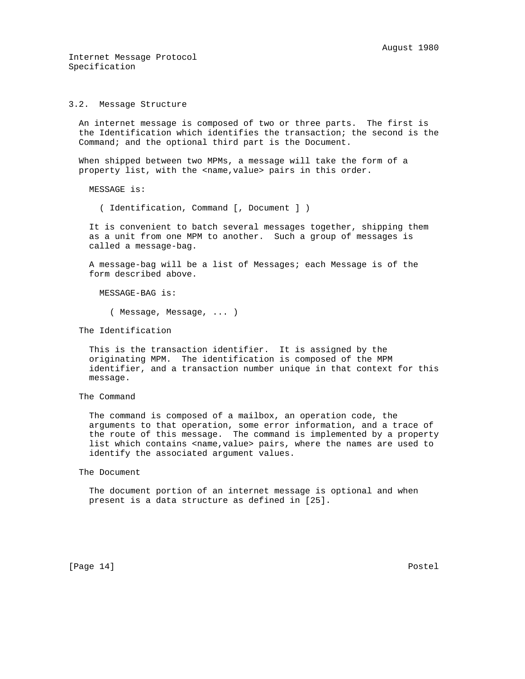Internet Message Protocol Specification

# 3.2. Message Structure

 An internet message is composed of two or three parts. The first is the Identification which identifies the transaction; the second is the Command; and the optional third part is the Document.

 When shipped between two MPMs, a message will take the form of a property list, with the <name, value> pairs in this order.

MESSAGE is:

( Identification, Command [, Document ] )

 It is convenient to batch several messages together, shipping them as a unit from one MPM to another. Such a group of messages is called a message-bag.

 A message-bag will be a list of Messages; each Message is of the form described above.

MESSAGE-BAG is:

( Message, Message, ... )

The Identification

 This is the transaction identifier. It is assigned by the originating MPM. The identification is composed of the MPM identifier, and a transaction number unique in that context for this message.

The Command

 The command is composed of a mailbox, an operation code, the arguments to that operation, some error information, and a trace of the route of this message. The command is implemented by a property list which contains <name,value> pairs, where the names are used to identify the associated argument values.

The Document

 The document portion of an internet message is optional and when present is a data structure as defined in [25].

[Page 14] Postel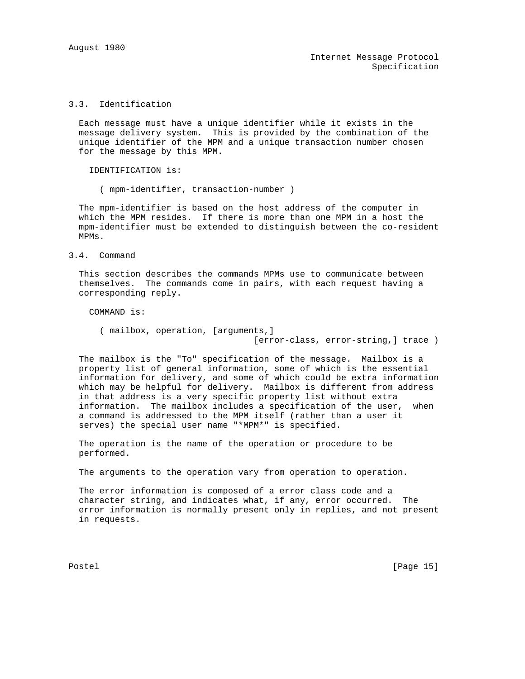## 3.3. Identification

 Each message must have a unique identifier while it exists in the message delivery system. This is provided by the combination of the unique identifier of the MPM and a unique transaction number chosen for the message by this MPM.

IDENTIFICATION is:

( mpm-identifier, transaction-number )

 The mpm-identifier is based on the host address of the computer in which the MPM resides. If there is more than one MPM in a host the mpm-identifier must be extended to distinguish between the co-resident MPMs.

3.4. Command

 This section describes the commands MPMs use to communicate between themselves. The commands come in pairs, with each request having a corresponding reply.

COMMAND is:

 ( mailbox, operation, [arguments,] [error-class, error-string,] trace )

 The mailbox is the "To" specification of the message. Mailbox is a property list of general information, some of which is the essential information for delivery, and some of which could be extra information which may be helpful for delivery. Mailbox is different from address in that address is a very specific property list without extra information. The mailbox includes a specification of the user, when a command is addressed to the MPM itself (rather than a user it serves) the special user name "\*MPM\*" is specified.

 The operation is the name of the operation or procedure to be performed.

The arguments to the operation vary from operation to operation.

 The error information is composed of a error class code and a character string, and indicates what, if any, error occurred. The error information is normally present only in replies, and not present in requests.

Postel [Page 15]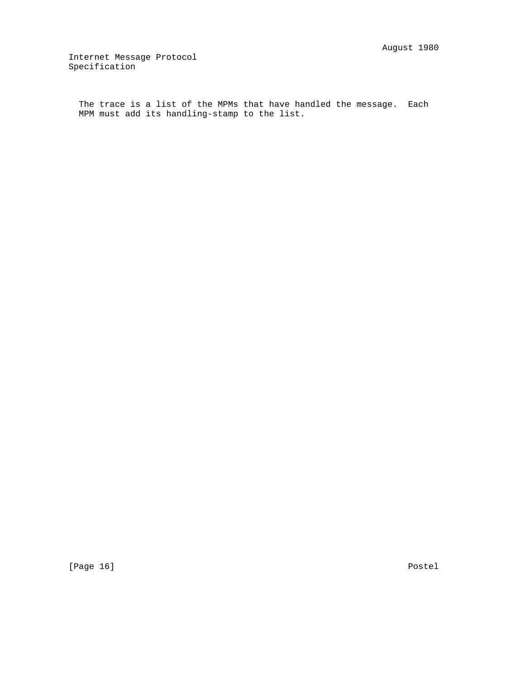Internet Message Protocol Specification

 The trace is a list of the MPMs that have handled the message. Each MPM must add its handling-stamp to the list.

[Page 16] Postel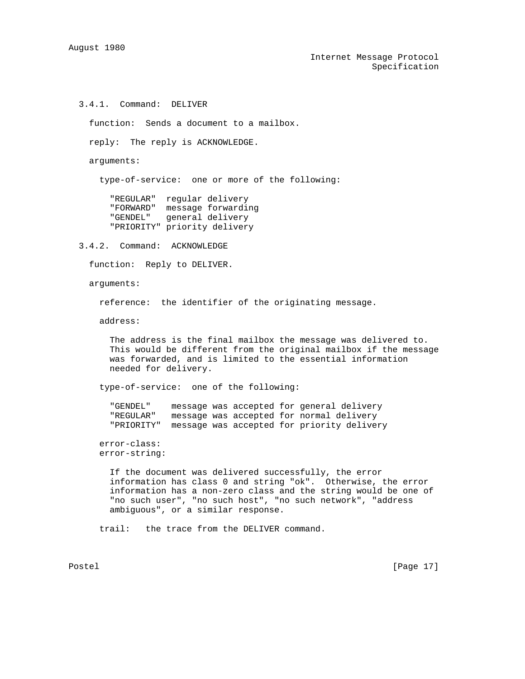3.4.1. Command: DELIVER

function: Sends a document to a mailbox.

reply: The reply is ACKNOWLEDGE.

arguments:

type-of-service: one or more of the following:

 "REGULAR" regular delivery "FORWARD" message forwarding "GENDEL" general delivery "PRIORITY" priority delivery

3.4.2. Command: ACKNOWLEDGE

function: Reply to DELIVER.

arguments:

reference: the identifier of the originating message.

address:

 The address is the final mailbox the message was delivered to. This would be different from the original mailbox if the message was forwarded, and is limited to the essential information needed for delivery.

type-of-service: one of the following:

 "GENDEL" message was accepted for general delivery "REGULAR" message was accepted for normal delivery "PRIORITY" message was accepted for priority delivery

 error-class: error-string:

> If the document was delivered successfully, the error information has class 0 and string "ok". Otherwise, the error information has a non-zero class and the string would be one of "no such user", "no such host", "no such network", "address ambiguous", or a similar response.

trail: the trace from the DELIVER command.

Postel [Page 17]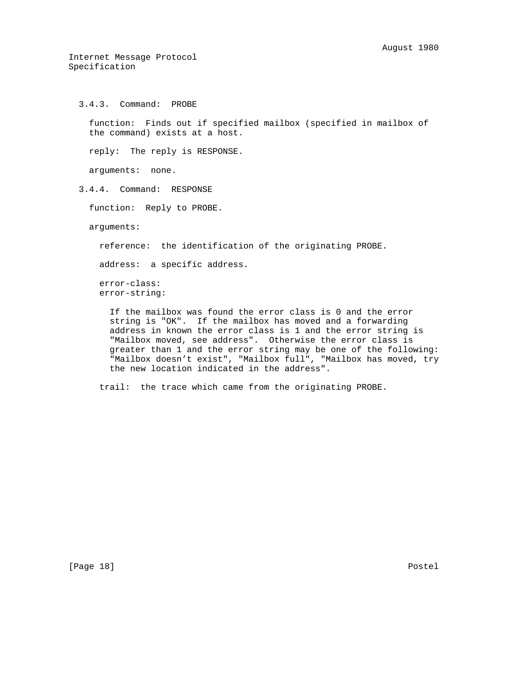Internet Message Protocol Specification

3.4.3. Command: PROBE

 function: Finds out if specified mailbox (specified in mailbox of the command) exists at a host.

reply: The reply is RESPONSE.

arguments: none.

3.4.4. Command: RESPONSE

function: Reply to PROBE.

arguments:

reference: the identification of the originating PROBE.

address: a specific address.

 error-class: error-string:

> If the mailbox was found the error class is 0 and the error string is "OK". If the mailbox has moved and a forwarding address in known the error class is 1 and the error string is "Mailbox moved, see address". Otherwise the error class is greater than 1 and the error string may be one of the following: "Mailbox doesn't exist", "Mailbox full", "Mailbox has moved, try the new location indicated in the address".

trail: the trace which came from the originating PROBE.

[Page 18] Postel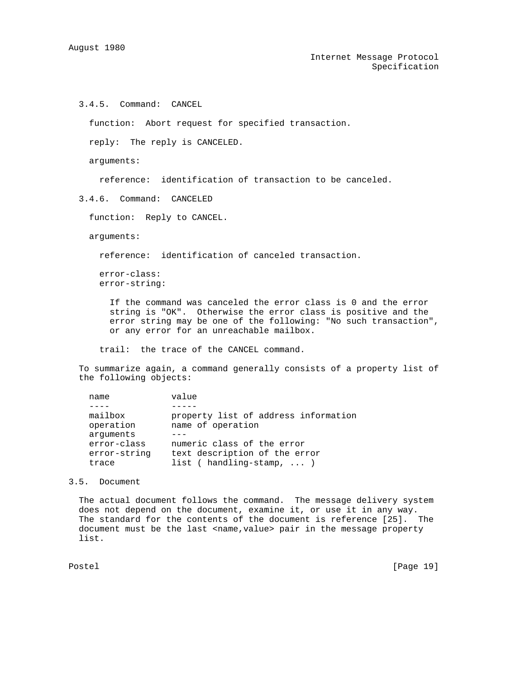3.4.5. Command: CANCEL

function: Abort request for specified transaction.

reply: The reply is CANCELED.

arguments:

reference: identification of transaction to be canceled.

3.4.6. Command: CANCELED

function: Reply to CANCEL.

arguments:

reference: identification of canceled transaction.

 error-class: error-string:

> If the command was canceled the error class is 0 and the error string is "OK". Otherwise the error class is positive and the error string may be one of the following: "No such transaction", or any error for an unreachable mailbox.

trail: the trace of the CANCEL command.

 To summarize again, a command generally consists of a property list of the following objects:

| name         | value                                |
|--------------|--------------------------------------|
|              |                                      |
| mailbox      | property list of address information |
| operation    | name of operation                    |
| arquments    |                                      |
| error-class  | numeric class of the error           |
| error-string | text description of the error        |
| trace        | list ( handling-stamp, $\ldots$ )    |

3.5. Document

 The actual document follows the command. The message delivery system does not depend on the document, examine it, or use it in any way. The standard for the contents of the document is reference [25]. The document must be the last <name, value> pair in the message property list.

Postel [Page 19]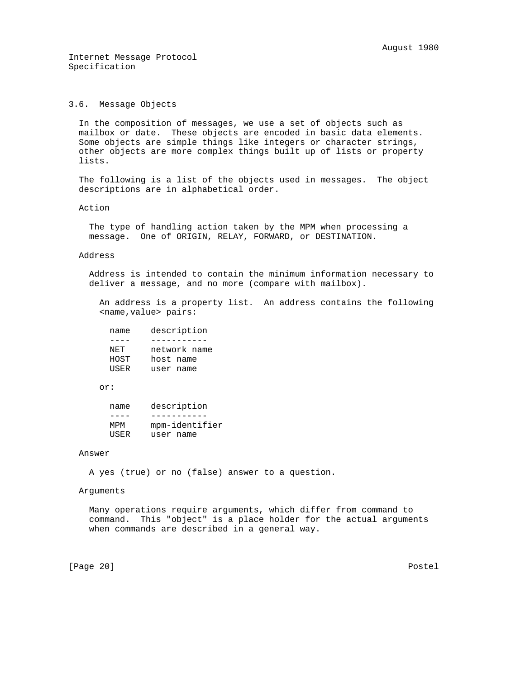Internet Message Protocol Specification

# 3.6. Message Objects

 In the composition of messages, we use a set of objects such as mailbox or date. These objects are encoded in basic data elements. Some objects are simple things like integers or character strings, other objects are more complex things built up of lists or property lists.

 The following is a list of the objects used in messages. The object descriptions are in alphabetical order.

Action

 The type of handling action taken by the MPM when processing a message. One of ORIGIN, RELAY, FORWARD, or DESTINATION.

#### Address

 Address is intended to contain the minimum information necessary to deliver a message, and no more (compare with mailbox).

 An address is a property list. An address contains the following <name,value> pairs:

| name  | description  |
|-------|--------------|
|       |              |
| NET   | network name |
| HOST  | host name    |
| USER. | user name    |

or:

| name        | description    |
|-------------|----------------|
|             |                |
| MPM.        | mpm-identifier |
| <b>USER</b> | user name      |

### Answer

A yes (true) or no (false) answer to a question.

# Arguments

 Many operations require arguments, which differ from command to command. This "object" is a place holder for the actual arguments when commands are described in a general way.

[Page 20] Postel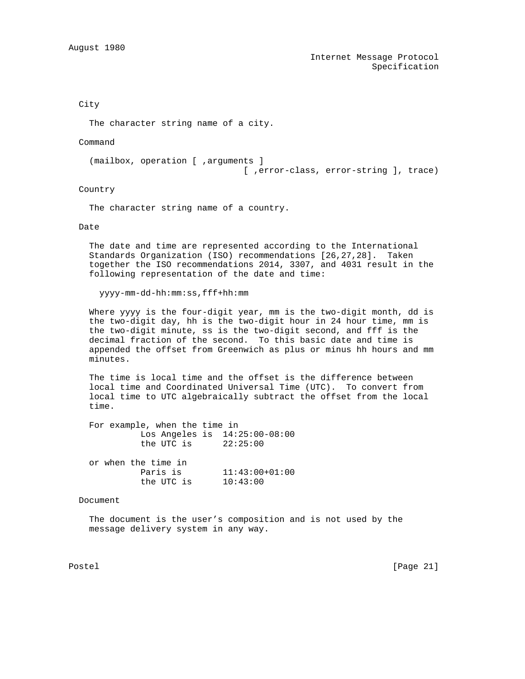# City

The character string name of a city.

Command

 (mailbox, operation [ ,arguments ] [ ,error-class, error-string ], trace)

Country

The character string name of a country.

# Date

 The date and time are represented according to the International Standards Organization (ISO) recommendations [26,27,28]. Taken together the ISO recommendations 2014, 3307, and 4031 result in the following representation of the date and time:

yyyy-mm-dd-hh:mm:ss,fff+hh:mm

 Where yyyy is the four-digit year, mm is the two-digit month, dd is the two-digit day, hh is the two-digit hour in 24 hour time, mm is the two-digit minute, ss is the two-digit second, and fff is the decimal fraction of the second. To this basic date and time is appended the offset from Greenwich as plus or minus hh hours and mm minutes.

 The time is local time and the offset is the difference between local time and Coordinated Universal Time (UTC). To convert from local time to UTC algebraically subtract the offset from the local time.

| For example, when the time in |            |  |                                 |
|-------------------------------|------------|--|---------------------------------|
|                               |            |  | Los Angeles is $14:25:00-08:00$ |
|                               | the UTC is |  | 22:25:00                        |

| or when the time in |                  |
|---------------------|------------------|
| Paris is            | $11:43:00+01:00$ |
| the UTC is          | 10:43:00         |

Document

 The document is the user's composition and is not used by the message delivery system in any way.

Postel [Page 21]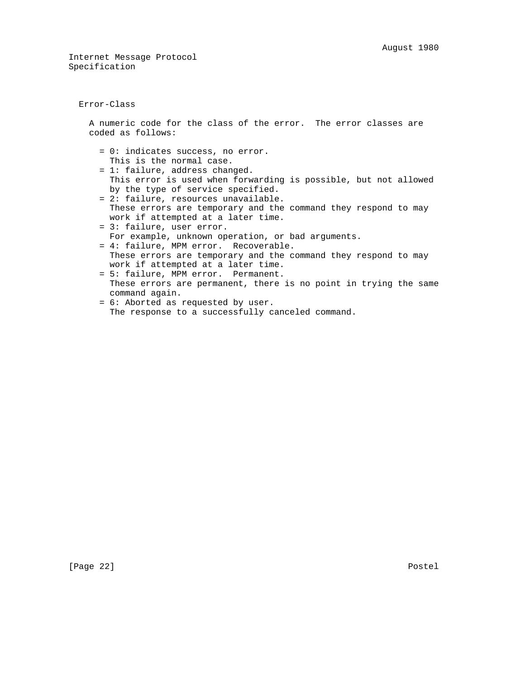Internet Message Protocol Specification

# Error-Class

 A numeric code for the class of the error. The error classes are coded as follows:

- = 0: indicates success, no error. This is the normal case.
- = 1: failure, address changed. This error is used when forwarding is possible, but not allowed by the type of service specified.
- = 2: failure, resources unavailable. These errors are temporary and the command they respond to may work if attempted at a later time.
- = 3: failure, user error. For example, unknown operation, or bad arguments.
- = 4: failure, MPM error. Recoverable. These errors are temporary and the command they respond to may work if attempted at a later time.
- = 5: failure, MPM error. Permanent. These errors are permanent, there is no point in trying the same command again.
- = 6: Aborted as requested by user. The response to a successfully canceled command.

[Page 22] Postel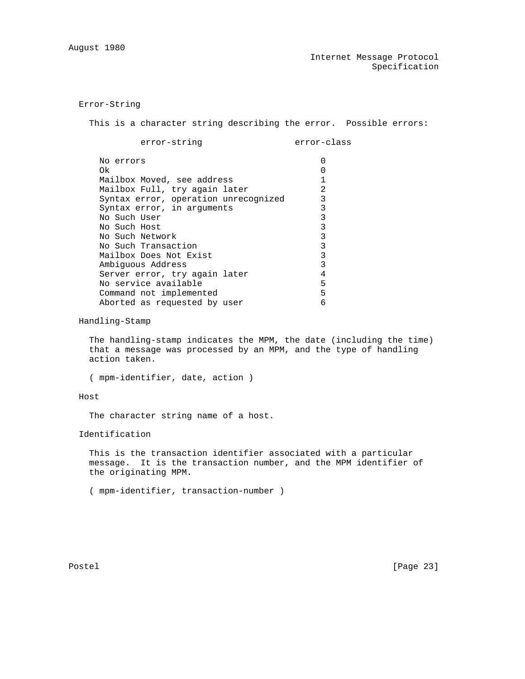```
 Error-String
```
This is a character string describing the error. Possible errors:

| error-string                         | error-class      |
|--------------------------------------|------------------|
| No errors                            | $\left( \right)$ |
| 0k.                                  |                  |
| Mailbox Moved, see address           |                  |
| Mailbox Full, try again later        | $\mathfrak{D}$   |
| Syntax error, operation unrecognized | 3                |
| Syntax error, in arguments           | 3                |
| No Such User                         | 3                |
| No Such Host                         | 3                |
| No Such Network                      | 3                |
| No Such Transaction                  | 3                |
| Mailbox Does Not Exist               | 3                |
| Ambiquous Address                    | 3                |
| Server error, try again later        | 4                |
| No service available                 | 5                |
| Command not implemented              | 5                |
| Aborted as requested by user         | 6                |

Handling-Stamp

 The handling-stamp indicates the MPM, the date (including the time) that a message was processed by an MPM, and the type of handling action taken.

( mpm-identifier, date, action )

Host

The character string name of a host.

Identification

 This is the transaction identifier associated with a particular message. It is the transaction number, and the MPM identifier of the originating MPM.

( mpm-identifier, transaction-number )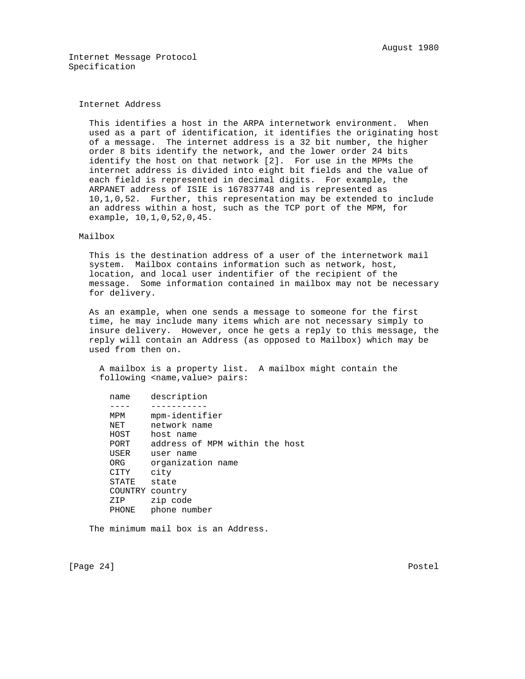August 1980

Internet Message Protocol Specification

# Internet Address

 This identifies a host in the ARPA internetwork environment. When used as a part of identification, it identifies the originating host of a message. The internet address is a 32 bit number, the higher order 8 bits identify the network, and the lower order 24 bits identify the host on that network [2]. For use in the MPMs the internet address is divided into eight bit fields and the value of each field is represented in decimal digits. For example, the ARPANET address of ISIE is 167837748 and is represented as 10,1,0,52. Further, this representation may be extended to include an address within a host, such as the TCP port of the MPM, for example, 10,1,0,52,0,45.

#### Mailbox

 This is the destination address of a user of the internetwork mail system. Mailbox contains information such as network, host, location, and local user indentifier of the recipient of the message. Some information contained in mailbox may not be necessary for delivery.

 As an example, when one sends a message to someone for the first time, he may include many items which are not necessary simply to insure delivery. However, once he gets a reply to this message, the reply will contain an Address (as opposed to Mailbox) which may be used from then on.

 A mailbox is a property list. A mailbox might contain the following <name, value> pairs:

```
 name description
 ---- -----------
MPM mpm-identifier
NET network name<br>HOST host name
      host name
 PORT address of MPM within the host
 USER user name
 ORG organization name
 CITY city
 STATE state
 COUNTRY country
 ZIP zip code
 PHONE phone number
```
The minimum mail box is an Address.

[Page 24] Postel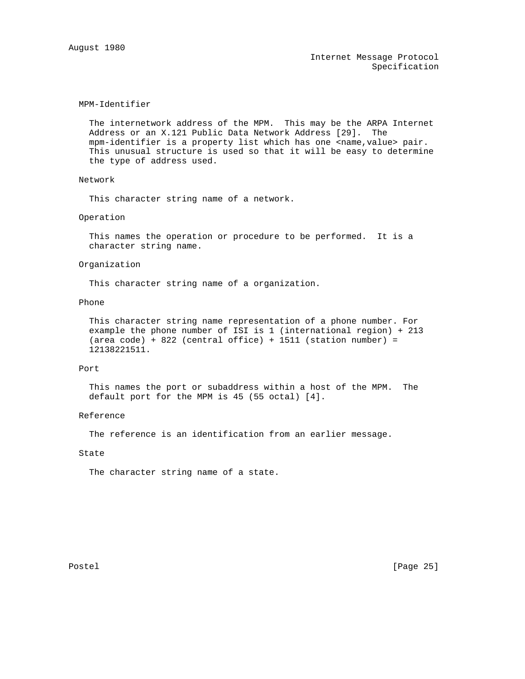# MPM-Identifier

 The internetwork address of the MPM. This may be the ARPA Internet Address or an X.121 Public Data Network Address [29]. The mpm-identifier is a property list which has one <name, value> pair. This unusual structure is used so that it will be easy to determine the type of address used.

# Network

This character string name of a network.

# Operation

 This names the operation or procedure to be performed. It is a character string name.

# Organization

This character string name of a organization.

### Phone

 This character string name representation of a phone number. For example the phone number of ISI is 1 (international region) + 213 (area code) + 822 (central office) + 1511 (station number) = 12138221511.

#### Port

 This names the port or subaddress within a host of the MPM. The default port for the MPM is 45 (55 octal) [4].

# Reference

The reference is an identification from an earlier message.

# State

The character string name of a state.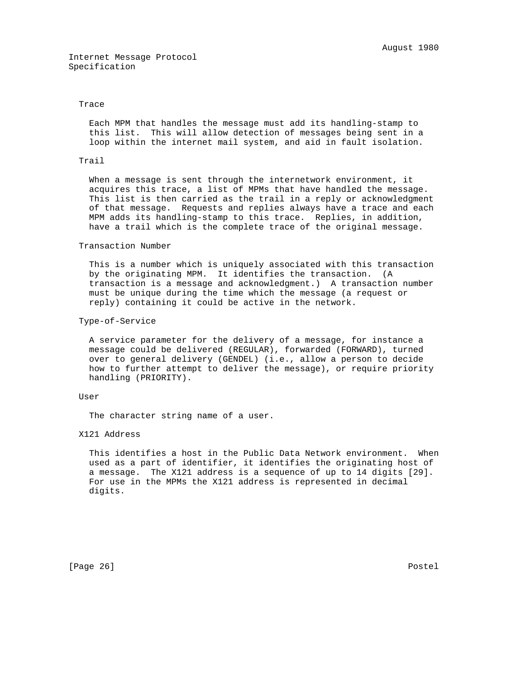# Trace

 Each MPM that handles the message must add its handling-stamp to this list. This will allow detection of messages being sent in a loop within the internet mail system, and aid in fault isolation.

### Trail

 When a message is sent through the internetwork environment, it acquires this trace, a list of MPMs that have handled the message. This list is then carried as the trail in a reply or acknowledgment of that message. Requests and replies always have a trace and each MPM adds its handling-stamp to this trace. Replies, in addition, have a trail which is the complete trace of the original message.

#### Transaction Number

 This is a number which is uniquely associated with this transaction by the originating MPM. It identifies the transaction. (A transaction is a message and acknowledgment.) A transaction number must be unique during the time which the message (a request or reply) containing it could be active in the network.

### Type-of-Service

 A service parameter for the delivery of a message, for instance a message could be delivered (REGULAR), forwarded (FORWARD), turned over to general delivery (GENDEL) (i.e., allow a person to decide how to further attempt to deliver the message), or require priority handling (PRIORITY).

# User

The character string name of a user.

# X121 Address

 This identifies a host in the Public Data Network environment. When used as a part of identifier, it identifies the originating host of a message. The X121 address is a sequence of up to 14 digits [29]. For use in the MPMs the X121 address is represented in decimal digits.

[Page 26] Postel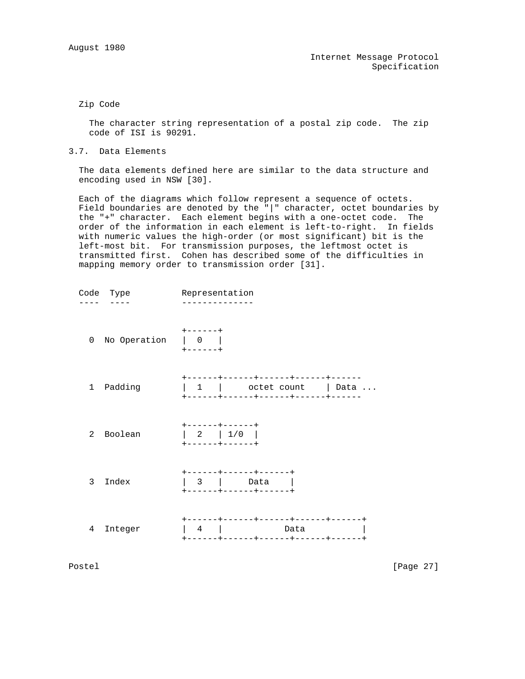# Zip Code

 The character string representation of a postal zip code. The zip code of ISI is 90291.

3.7. Data Elements

 The data elements defined here are similar to the data structure and encoding used in NSW [30].

 Each of the diagrams which follow represent a sequence of octets. Field boundaries are denoted by the "|" character, octet boundaries by the "+" character. Each element begins with a one-octet code. The order of the information in each element is left-to-right. In fields with numeric values the high-order (or most significant) bit is the left-most bit. For transmission purposes, the leftmost octet is transmitted first. Cohen has described some of the difficulties in mapping memory order to transmission order [31].



Postel [Page 27]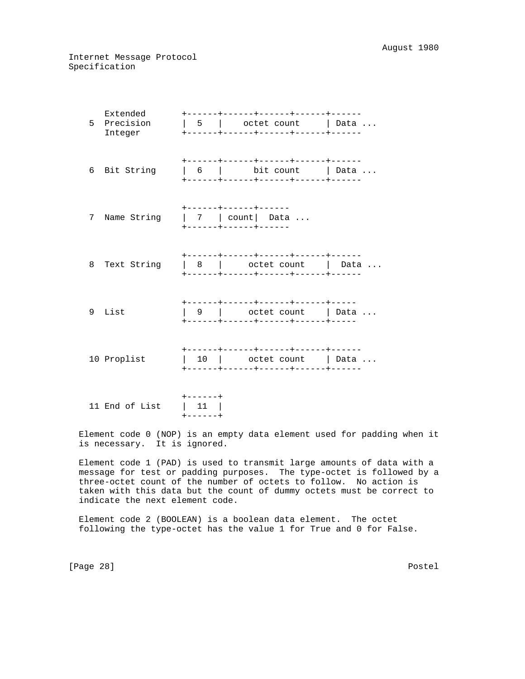Internet Message Protocol Specification

+------+

| 5 | Extended<br>Precision<br>Integer |                       | +------+------+------+------+------<br>5   octet count   Data<br>+------+------+------+-----+------               |      |
|---|----------------------------------|-----------------------|-------------------------------------------------------------------------------------------------------------------|------|
|   | 6 Bit String                     |                       | +------+------+------+------+------<br>+------+------+------+-----+------                                         |      |
| 7 | Name String                      |                       | ------+-----+------<br>$\begin{array}{ c c c c c c } \hline \end{array}$ 7   count   Data<br>+------+------+----- |      |
| 8 | Text String                      |                       | +------+------+------+------+-----<br>  8   octet count   Data<br>+------+-----+-------+-----+------              |      |
| 9 | List                             | - 9                   | +------+------+------+------+-----<br>  octet count   Data<br>+------+------+------+-----+-----                   |      |
|   | 10 Proplist                      |                       | +------+------+------+-----+------<br>10   octet count<br>+------+-----+-------+-----+------                      | Data |
|   | 11 End of List                   | $+ - - - - - +$<br>11 |                                                                                                                   |      |

 Element code 0 (NOP) is an empty data element used for padding when it is necessary. It is ignored.

 Element code 1 (PAD) is used to transmit large amounts of data with a message for test or padding purposes. The type-octet is followed by a three-octet count of the number of octets to follow. No action is taken with this data but the count of dummy octets must be correct to indicate the next element code.

 Element code 2 (BOOLEAN) is a boolean data element. The octet following the type-octet has the value 1 for True and 0 for False.

[Page 28] Postel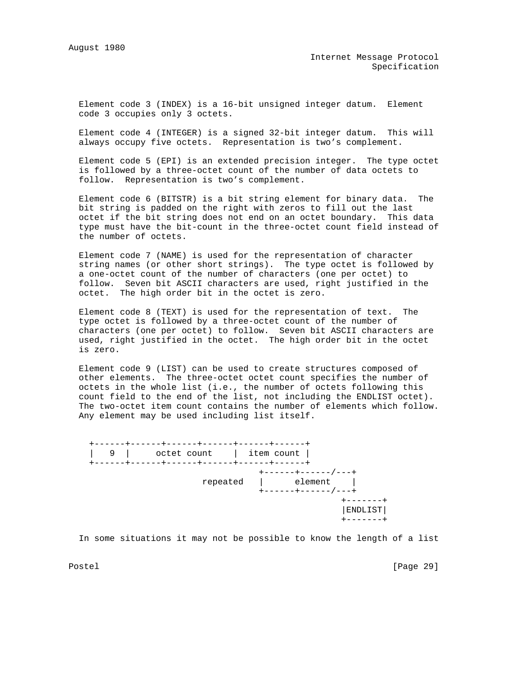Element code 3 (INDEX) is a 16-bit unsigned integer datum. Element code 3 occupies only 3 octets.

 Element code 4 (INTEGER) is a signed 32-bit integer datum. This will always occupy five octets. Representation is two's complement.

 Element code 5 (EPI) is an extended precision integer. The type octet is followed by a three-octet count of the number of data octets to follow. Representation is two's complement.

 Element code 6 (BITSTR) is a bit string element for binary data. The bit string is padded on the right with zeros to fill out the last octet if the bit string does not end on an octet boundary. This data type must have the bit-count in the three-octet count field instead of the number of octets.

 Element code 7 (NAME) is used for the representation of character string names (or other short strings). The type octet is followed by a one-octet count of the number of characters (one per octet) to follow. Seven bit ASCII characters are used, right justified in the octet. The high order bit in the octet is zero.

 Element code 8 (TEXT) is used for the representation of text. The type octet is followed by a three-octet count of the number of characters (one per octet) to follow. Seven bit ASCII characters are used, right justified in the octet. The high order bit in the octet is zero.

 Element code 9 (LIST) can be used to create structures composed of other elements. The three-octet octet count specifies the number of octets in the whole list (i.e., the number of octets following this count field to the end of the list, not including the ENDLIST octet). The two-octet item count contains the number of elements which follow. Any element may be used including list itself.

 +------+------+------+------+------+------+ | 9 | octet count | item count | +------+------+------+------+------+------+ +------+------/---+ repeated | element | +------+------/---+ +-------+ |ENDLIST| +-------+

In some situations it may not be possible to know the length of a list

Postel [Page 29]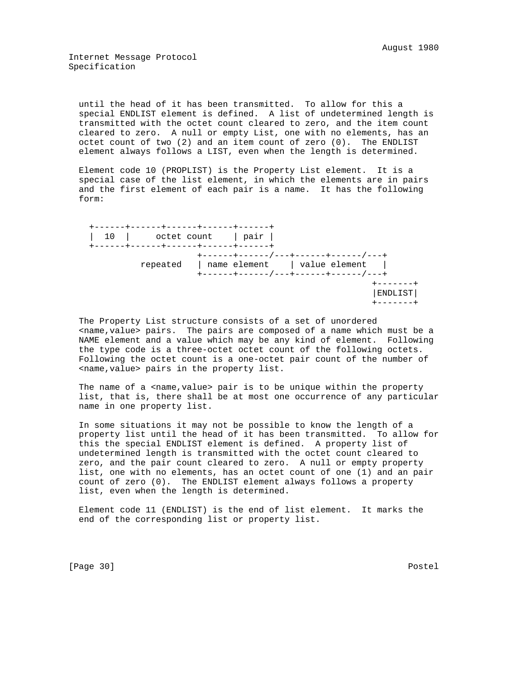until the head of it has been transmitted. To allow for this a special ENDLIST element is defined. A list of undetermined length is transmitted with the octet count cleared to zero, and the item count cleared to zero. A null or empty List, one with no elements, has an octet count of two (2) and an item count of zero (0). The ENDLIST element always follows a LIST, even when the length is determined.

 Element code 10 (PROPLIST) is the Property List element. It is a special case of the list element, in which the elements are in pairs and the first element of each pair is a name. It has the following form:

 +------+------+------+------+------+ | 10 | octet count | pair | +------+------+------+------+------+ +------+------/---+------+------/---+ repeated | name element | value element | +------+------/---+------+------/---+ +-------+ |ENDLIST| +-------+

 The Property List structure consists of a set of unordered <name,value> pairs. The pairs are composed of a name which must be a NAME element and a value which may be any kind of element. Following the type code is a three-octet octet count of the following octets. Following the octet count is a one-octet pair count of the number of <name,value> pairs in the property list.

The name of a <name, value> pair is to be unique within the property list, that is, there shall be at most one occurrence of any particular name in one property list.

 In some situations it may not be possible to know the length of a property list until the head of it has been transmitted. To allow for this the special ENDLIST element is defined. A property list of undetermined length is transmitted with the octet count cleared to zero, and the pair count cleared to zero. A null or empty property list, one with no elements, has an octet count of one (1) and an pair count of zero (0). The ENDLIST element always follows a property list, even when the length is determined.

 Element code 11 (ENDLIST) is the end of list element. It marks the end of the corresponding list or property list.

[Page 30] Postel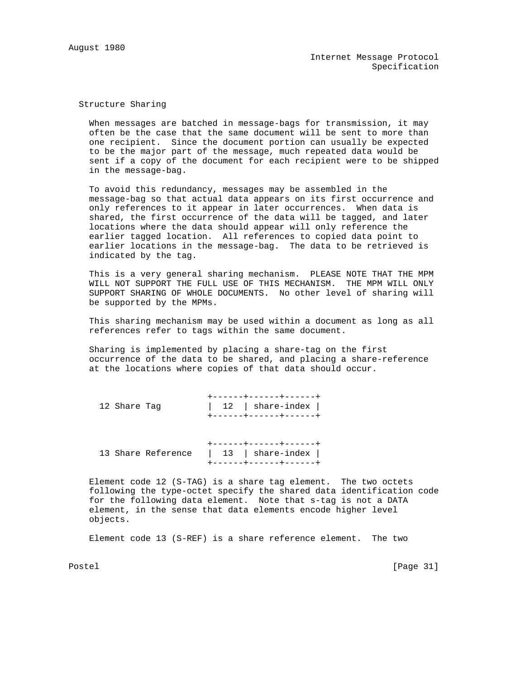Structure Sharing

 When messages are batched in message-bags for transmission, it may often be the case that the same document will be sent to more than one recipient. Since the document portion can usually be expected to be the major part of the message, much repeated data would be sent if a copy of the document for each recipient were to be shipped in the message-bag.

 To avoid this redundancy, messages may be assembled in the message-bag so that actual data appears on its first occurrence and only references to it appear in later occurrences. When data is shared, the first occurrence of the data will be tagged, and later locations where the data should appear will only reference the earlier tagged location. All references to copied data point to earlier locations in the message-bag. The data to be retrieved is indicated by the tag.

 This is a very general sharing mechanism. PLEASE NOTE THAT THE MPM WILL NOT SUPPORT THE FULL USE OF THIS MECHANISM. THE MPM WILL ONLY SUPPORT SHARING OF WHOLE DOCUMENTS. No other level of sharing will be supported by the MPMs.

 This sharing mechanism may be used within a document as long as all references refer to tags within the same document.

 Sharing is implemented by placing a share-tag on the first occurrence of the data to be shared, and placing a share-reference at the locations where copies of that data should occur.

| 12 Share Tag       | +------+------+-----+<br>$12$   share-index  <br>+------+------+-----+ |
|--------------------|------------------------------------------------------------------------|
|                    | +------+------+-----+                                                  |
| 13 Share Reference | $13$   share-index  <br>------+------+-----+                           |

 Element code 12 (S-TAG) is a share tag element. The two octets following the type-octet specify the shared data identification code for the following data element. Note that s-tag is not a DATA element, in the sense that data elements encode higher level objects.

Element code 13 (S-REF) is a share reference element. The two

Postel [Page 31]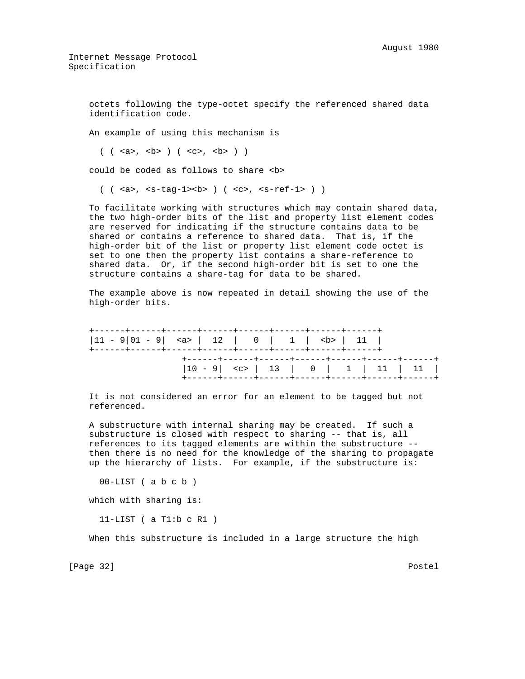Internet Message Protocol Specification

> octets following the type-octet specify the referenced shared data identification code.

An example of using this mechanism is

 $($   $(z, **kb> )**$   $(**c>ds**, **kb> )** )$ 

could be coded as follows to share <b>

( ( <a>, <s-tag-1><b> ) ( <c>, <s-ref-1> ) )

 To facilitate working with structures which may contain shared data, the two high-order bits of the list and property list element codes are reserved for indicating if the structure contains data to be shared or contains a reference to shared data. That is, if the high-order bit of the list or property list element code octet is set to one then the property list contains a share-reference to shared data. Or, if the second high-order bit is set to one the structure contains a share-tag for data to be shared.

 The example above is now repeated in detail showing the use of the high-order bits.

| $ 11 - 9 01 - 9 $ <a>   12   0   1   <b>   11  </b></a> |  |  |  |  |  |  |
|---------------------------------------------------------|--|--|--|--|--|--|
|                                                         |  |  |  |  |  |  |

 It is not considered an error for an element to be tagged but not referenced.

 A substructure with internal sharing may be created. If such a substructure is closed with respect to sharing -- that is, all references to its tagged elements are within the substructure - then there is no need for the knowledge of the sharing to propagate up the hierarchy of lists. For example, if the substructure is:

00-LIST ( a b c b )

which with sharing is:

11-LIST ( a T1:b c R1 )

When this substructure is included in a large structure the high

[Page 32] Postel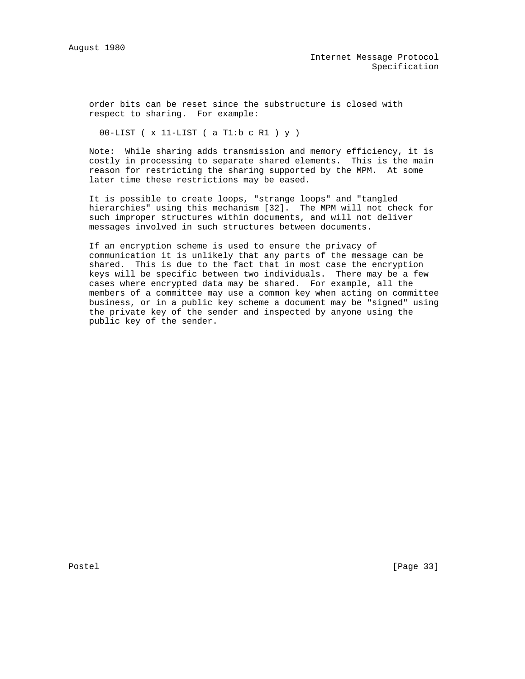order bits can be reset since the substructure is closed with respect to sharing. For example:

00-LIST ( x 11-LIST ( a T1:b c R1 ) y )

 Note: While sharing adds transmission and memory efficiency, it is costly in processing to separate shared elements. This is the main reason for restricting the sharing supported by the MPM. At some later time these restrictions may be eased.

 It is possible to create loops, "strange loops" and "tangled hierarchies" using this mechanism [32]. The MPM will not check for such improper structures within documents, and will not deliver messages involved in such structures between documents.

 If an encryption scheme is used to ensure the privacy of communication it is unlikely that any parts of the message can be shared. This is due to the fact that in most case the encryption keys will be specific between two individuals. There may be a few cases where encrypted data may be shared. For example, all the members of a committee may use a common key when acting on committee business, or in a public key scheme a document may be "signed" using the private key of the sender and inspected by anyone using the public key of the sender.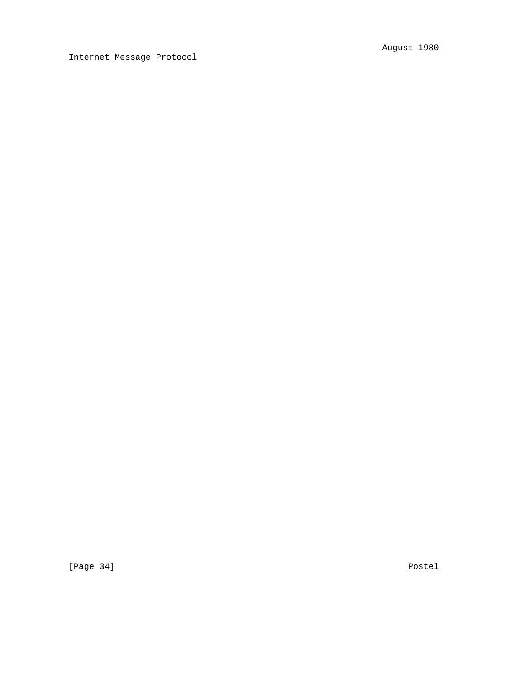August 1980

Internet Message Protocol

[Page 34] Postel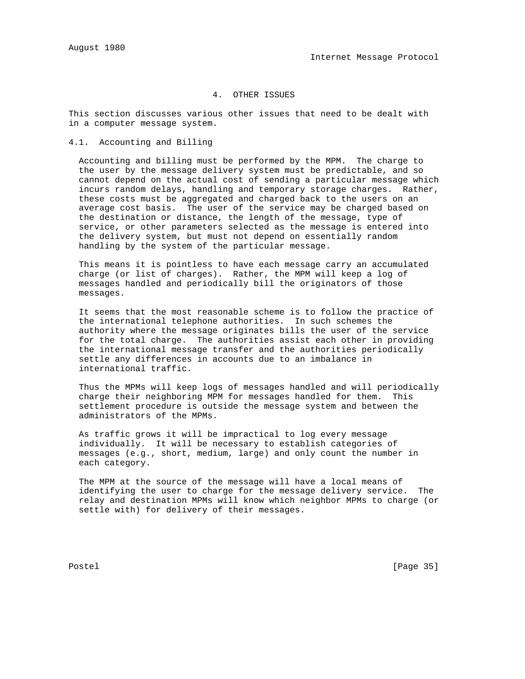# 4. OTHER ISSUES

This section discusses various other issues that need to be dealt with in a computer message system.

#### 4.1. Accounting and Billing

 Accounting and billing must be performed by the MPM. The charge to the user by the message delivery system must be predictable, and so cannot depend on the actual cost of sending a particular message which incurs random delays, handling and temporary storage charges. Rather, these costs must be aggregated and charged back to the users on an average cost basis. The user of the service may be charged based on the destination or distance, the length of the message, type of service, or other parameters selected as the message is entered into the delivery system, but must not depend on essentially random handling by the system of the particular message.

 This means it is pointless to have each message carry an accumulated charge (or list of charges). Rather, the MPM will keep a log of messages handled and periodically bill the originators of those messages.

 It seems that the most reasonable scheme is to follow the practice of the international telephone authorities. In such schemes the authority where the message originates bills the user of the service for the total charge. The authorities assist each other in providing the international message transfer and the authorities periodically settle any differences in accounts due to an imbalance in international traffic.

 Thus the MPMs will keep logs of messages handled and will periodically charge their neighboring MPM for messages handled for them. This settlement procedure is outside the message system and between the administrators of the MPMs.

 As traffic grows it will be impractical to log every message individually. It will be necessary to establish categories of messages (e.g., short, medium, large) and only count the number in each category.

 The MPM at the source of the message will have a local means of identifying the user to charge for the message delivery service. The relay and destination MPMs will know which neighbor MPMs to charge (or settle with) for delivery of their messages.

Postel [Page 35]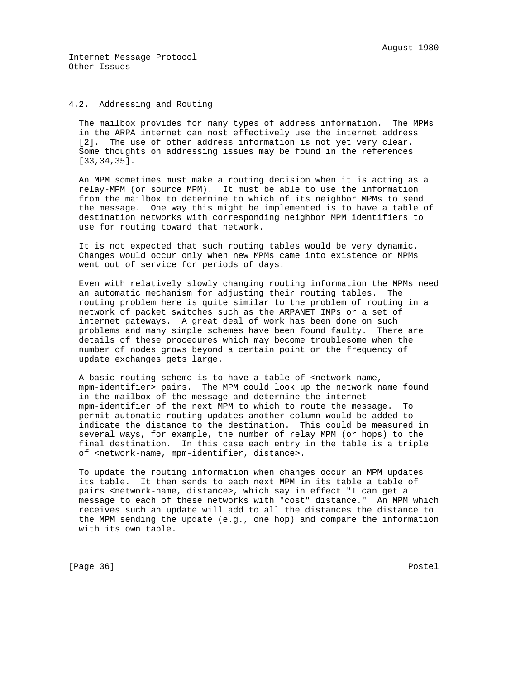Internet Message Protocol Other Issues

### 4.2. Addressing and Routing

 The mailbox provides for many types of address information. The MPMs in the ARPA internet can most effectively use the internet address [2]. The use of other address information is not yet very clear. Some thoughts on addressing issues may be found in the references [33,34,35].

 An MPM sometimes must make a routing decision when it is acting as a relay-MPM (or source MPM). It must be able to use the information from the mailbox to determine to which of its neighbor MPMs to send the message. One way this might be implemented is to have a table of destination networks with corresponding neighbor MPM identifiers to use for routing toward that network.

 It is not expected that such routing tables would be very dynamic. Changes would occur only when new MPMs came into existence or MPMs went out of service for periods of days.

 Even with relatively slowly changing routing information the MPMs need an automatic mechanism for adjusting their routing tables. The routing problem here is quite similar to the problem of routing in a network of packet switches such as the ARPANET IMPs or a set of internet gateways. A great deal of work has been done on such problems and many simple schemes have been found faulty. There are details of these procedures which may become troublesome when the number of nodes grows beyond a certain point or the frequency of update exchanges gets large.

A basic routing scheme is to have a table of <network-name, mpm-identifier> pairs. The MPM could look up the network name found in the mailbox of the message and determine the internet mpm-identifier of the next MPM to which to route the message. To permit automatic routing updates another column would be added to indicate the distance to the destination. This could be measured in several ways, for example, the number of relay MPM (or hops) to the final destination. In this case each entry in the table is a triple of <network-name, mpm-identifier, distance>.

 To update the routing information when changes occur an MPM updates its table. It then sends to each next MPM in its table a table of pairs <network-name, distance>, which say in effect "I can get a message to each of these networks with "cost" distance." An MPM which receives such an update will add to all the distances the distance to the MPM sending the update (e.g., one hop) and compare the information with its own table.

[Page 36] Postel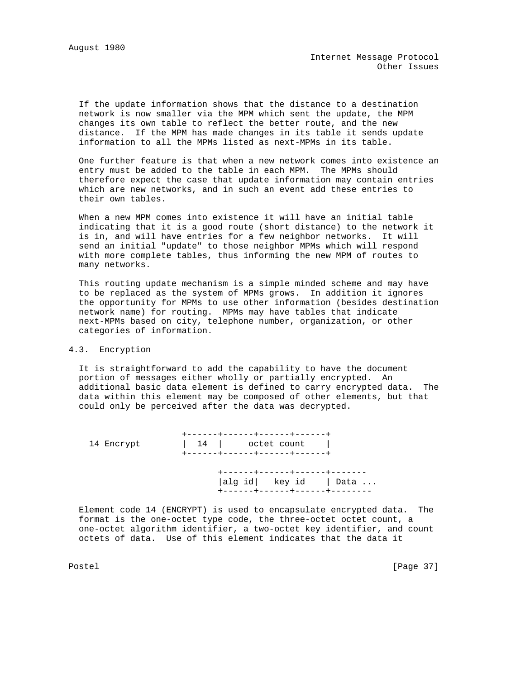If the update information shows that the distance to a destination network is now smaller via the MPM which sent the update, the MPM changes its own table to reflect the better route, and the new distance. If the MPM has made changes in its table it sends update information to all the MPMs listed as next-MPMs in its table.

 One further feature is that when a new network comes into existence an entry must be added to the table in each MPM. The MPMs should therefore expect the case that update information may contain entries which are new networks, and in such an event add these entries to their own tables.

 When a new MPM comes into existence it will have an initial table indicating that it is a good route (short distance) to the network it is in, and will have entries for a few neighbor networks. It will send an initial "update" to those neighbor MPMs which will respond with more complete tables, thus informing the new MPM of routes to many networks.

 This routing update mechanism is a simple minded scheme and may have to be replaced as the system of MPMs grows. In addition it ignores the opportunity for MPMs to use other information (besides destination network name) for routing. MPMs may have tables that indicate next-MPMs based on city, telephone number, organization, or other categories of information.

#### 4.3. Encryption

 It is straightforward to add the capability to have the document portion of messages either wholly or partially encrypted. An additional basic data element is defined to carry encrypted data. The data within this element may be composed of other elements, but that could only be perceived after the data was decrypted.

 +------+------+------+------+ 14 Encrypt | 14 | octet count | +------+------+------+------+ +------+------+------+------- |alg id| key id | Data ... +------+------+------+--------

 Element code 14 (ENCRYPT) is used to encapsulate encrypted data. The format is the one-octet type code, the three-octet octet count, a one-octet algorithm identifier, a two-octet key identifier, and count octets of data. Use of this element indicates that the data it

Postel [Page 37]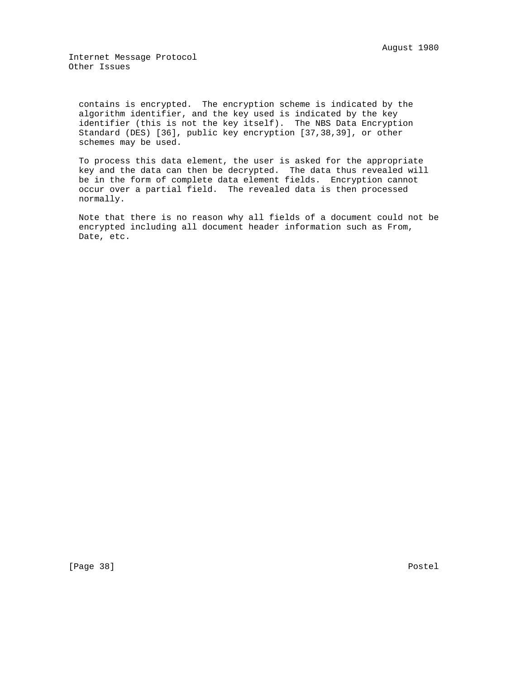Internet Message Protocol Other Issues

 contains is encrypted. The encryption scheme is indicated by the algorithm identifier, and the key used is indicated by the key identifier (this is not the key itself). The NBS Data Encryption Standard (DES) [36], public key encryption [37,38,39], or other schemes may be used.

 To process this data element, the user is asked for the appropriate key and the data can then be decrypted. The data thus revealed will be in the form of complete data element fields. Encryption cannot occur over a partial field. The revealed data is then processed normally.

 Note that there is no reason why all fields of a document could not be encrypted including all document header information such as From, Date, etc.

[Page 38] Postel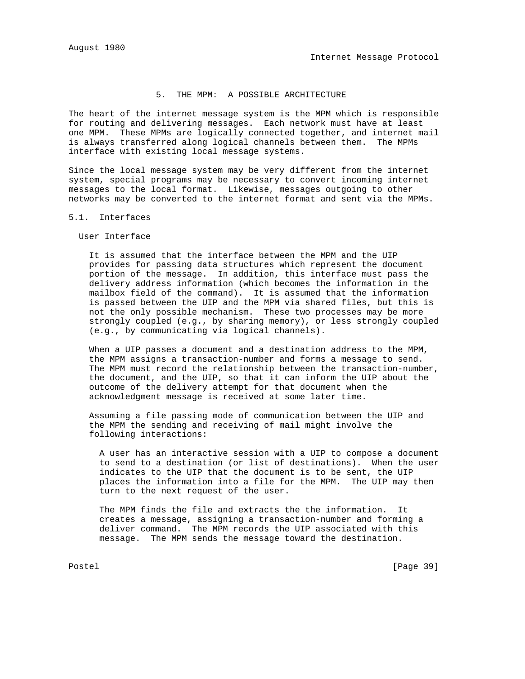### 5. THE MPM: A POSSIBLE ARCHITECTURE

The heart of the internet message system is the MPM which is responsible for routing and delivering messages. Each network must have at least one MPM. These MPMs are logically connected together, and internet mail is always transferred along logical channels between them. The MPMs interface with existing local message systems.

Since the local message system may be very different from the internet system, special programs may be necessary to convert incoming internet messages to the local format. Likewise, messages outgoing to other networks may be converted to the internet format and sent via the MPMs.

#### 5.1. Interfaces

User Interface

 It is assumed that the interface between the MPM and the UIP provides for passing data structures which represent the document portion of the message. In addition, this interface must pass the delivery address information (which becomes the information in the mailbox field of the command). It is assumed that the information is passed between the UIP and the MPM via shared files, but this is not the only possible mechanism. These two processes may be more strongly coupled (e.g., by sharing memory), or less strongly coupled (e.g., by communicating via logical channels).

 When a UIP passes a document and a destination address to the MPM, the MPM assigns a transaction-number and forms a message to send. The MPM must record the relationship between the transaction-number, the document, and the UIP, so that it can inform the UIP about the outcome of the delivery attempt for that document when the acknowledgment message is received at some later time.

 Assuming a file passing mode of communication between the UIP and the MPM the sending and receiving of mail might involve the following interactions:

 A user has an interactive session with a UIP to compose a document to send to a destination (or list of destinations). When the user indicates to the UIP that the document is to be sent, the UIP places the information into a file for the MPM. The UIP may then turn to the next request of the user.

 The MPM finds the file and extracts the the information. It creates a message, assigning a transaction-number and forming a deliver command. The MPM records the UIP associated with this message. The MPM sends the message toward the destination.

Postel [Page 39]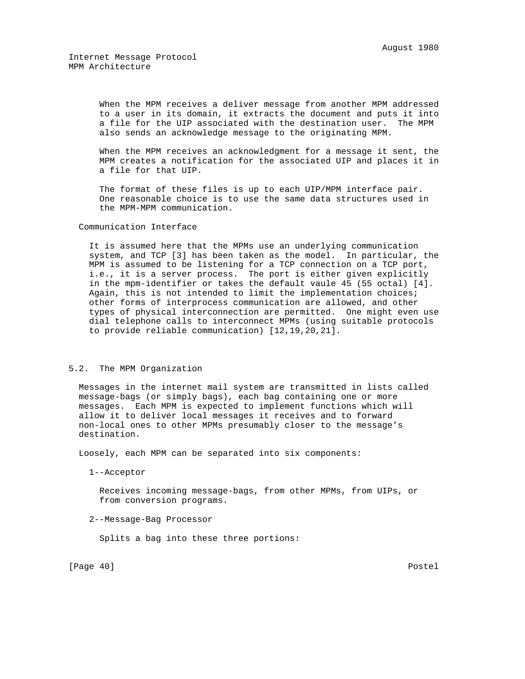When the MPM receives a deliver message from another MPM addressed to a user in its domain, it extracts the document and puts it into a file for the UIP associated with the destination user. The MPM also sends an acknowledge message to the originating MPM.

 When the MPM receives an acknowledgment for a message it sent, the MPM creates a notification for the associated UIP and places it in a file for that UIP.

 The format of these files is up to each UIP/MPM interface pair. One reasonable choice is to use the same data structures used in the MPM-MPM communication.

### Communication Interface

 It is assumed here that the MPMs use an underlying communication system, and TCP [3] has been taken as the model. In particular, the MPM is assumed to be listening for a TCP connection on a TCP port, i.e., it is a server process. The port is either given explicitly in the mpm-identifier or takes the default vaule 45 (55 octal) [4]. Again, this is not intended to limit the implementation choices; other forms of interprocess communication are allowed, and other types of physical interconnection are permitted. One might even use dial telephone calls to interconnect MPMs (using suitable protocols to provide reliable communication) [12,19,20,21].

#### 5.2. The MPM Organization

 Messages in the internet mail system are transmitted in lists called message-bags (or simply bags), each bag containing one or more messages. Each MPM is expected to implement functions which will allow it to deliver local messages it receives and to forward non-local ones to other MPMs presumably closer to the message's destination.

Loosely, each MPM can be separated into six components:

1--Acceptor

 Receives incoming message-bags, from other MPMs, from UIPs, or from conversion programs.

2--Message-Bag Processor

Splits a bag into these three portions:

[Page 40] Postel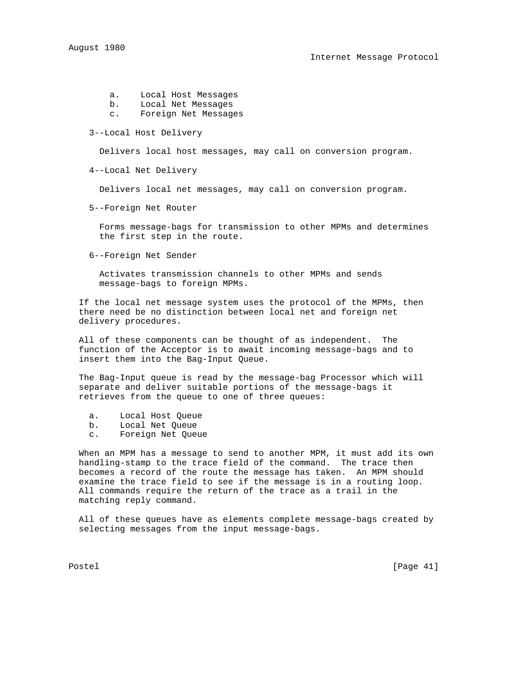- a. Local Host Messages
- b. Local Net Messages
- c. Foreign Net Messages

3--Local Host Delivery

Delivers local host messages, may call on conversion program.

4--Local Net Delivery

Delivers local net messages, may call on conversion program.

5--Foreign Net Router

 Forms message-bags for transmission to other MPMs and determines the first step in the route.

6--Foreign Net Sender

 Activates transmission channels to other MPMs and sends message-bags to foreign MPMs.

 If the local net message system uses the protocol of the MPMs, then there need be no distinction between local net and foreign net delivery procedures.

 All of these components can be thought of as independent. The function of the Acceptor is to await incoming message-bags and to insert them into the Bag-Input Queue.

 The Bag-Input queue is read by the message-bag Processor which will separate and deliver suitable portions of the message-bags it retrieves from the queue to one of three queues:

- a. Local Host Queue
- b. Local Net Queue
- c. Foreign Net Queue

 When an MPM has a message to send to another MPM, it must add its own handling-stamp to the trace field of the command. The trace then becomes a record of the route the message has taken. An MPM should examine the trace field to see if the message is in a routing loop. All commands require the return of the trace as a trail in the matching reply command.

 All of these queues have as elements complete message-bags created by selecting messages from the input message-bags.

Postel [Page 41]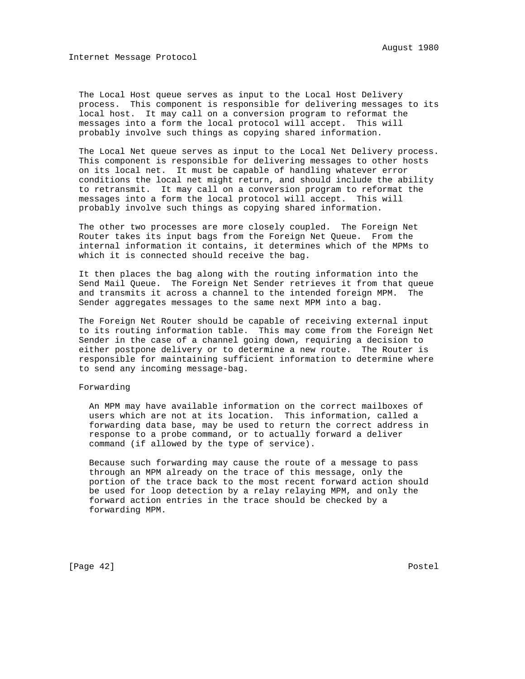The Local Host queue serves as input to the Local Host Delivery process. This component is responsible for delivering messages to its local host. It may call on a conversion program to reformat the messages into a form the local protocol will accept. This will probably involve such things as copying shared information.

 The Local Net queue serves as input to the Local Net Delivery process. This component is responsible for delivering messages to other hosts on its local net. It must be capable of handling whatever error conditions the local net might return, and should include the ability to retransmit. It may call on a conversion program to reformat the messages into a form the local protocol will accept. This will probably involve such things as copying shared information.

 The other two processes are more closely coupled. The Foreign Net Router takes its input bags from the Foreign Net Queue. From the internal information it contains, it determines which of the MPMs to which it is connected should receive the bag.

 It then places the bag along with the routing information into the Send Mail Queue. The Foreign Net Sender retrieves it from that queue and transmits it across a channel to the intended foreign MPM. The Sender aggregates messages to the same next MPM into a bag.

 The Foreign Net Router should be capable of receiving external input to its routing information table. This may come from the Foreign Net Sender in the case of a channel going down, requiring a decision to either postpone delivery or to determine a new route. The Router is responsible for maintaining sufficient information to determine where to send any incoming message-bag.

### Forwarding

 An MPM may have available information on the correct mailboxes of users which are not at its location. This information, called a forwarding data base, may be used to return the correct address in response to a probe command, or to actually forward a deliver command (if allowed by the type of service).

 Because such forwarding may cause the route of a message to pass through an MPM already on the trace of this message, only the portion of the trace back to the most recent forward action should be used for loop detection by a relay relaying MPM, and only the forward action entries in the trace should be checked by a forwarding MPM.

[Page 42] Postel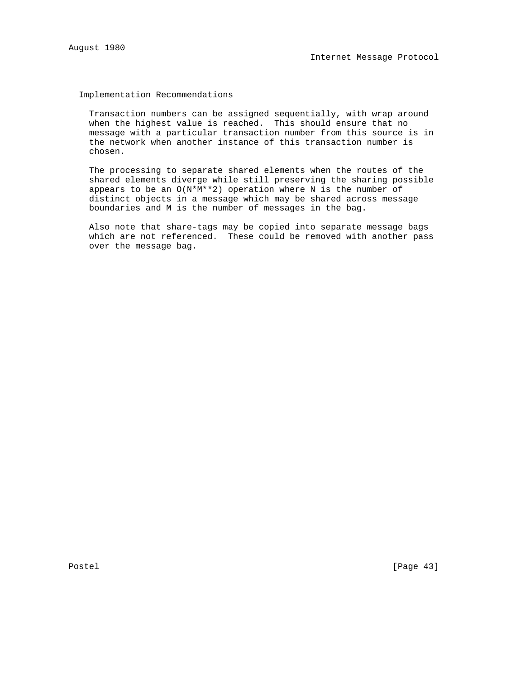Implementation Recommendations

 Transaction numbers can be assigned sequentially, with wrap around when the highest value is reached. This should ensure that no message with a particular transaction number from this source is in the network when another instance of this transaction number is chosen.

 The processing to separate shared elements when the routes of the shared elements diverge while still preserving the sharing possible appears to be an  $O(N*M**2)$  operation where N is the number of distinct objects in a message which may be shared across message boundaries and M is the number of messages in the bag.

 Also note that share-tags may be copied into separate message bags which are not referenced. These could be removed with another pass over the message bag.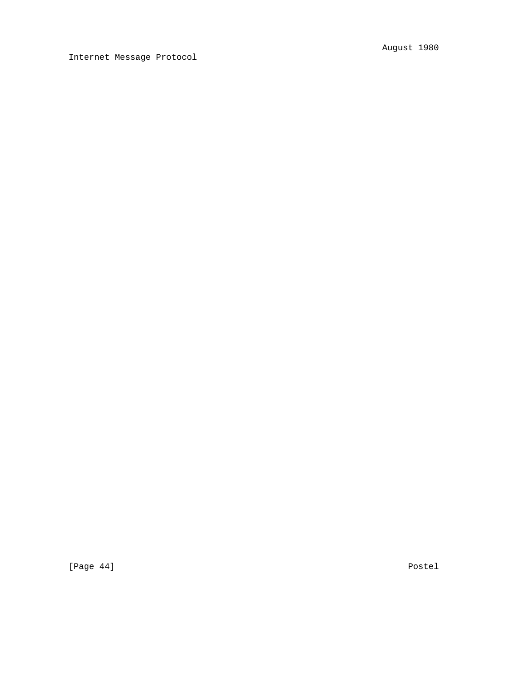August 1980

Internet Message Protocol

[Page 44] Postel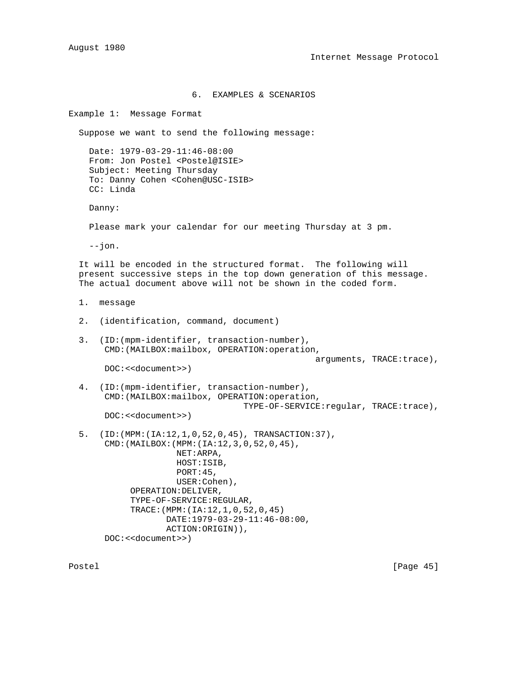August 1980

Internet Message Protocol

 6. EXAMPLES & SCENARIOS Example 1: Message Format Suppose we want to send the following message: Date: 1979-03-29-11:46-08:00 From: Jon Postel <Postel@ISIE> Subject: Meeting Thursday To: Danny Cohen <Cohen@USC-ISIB> CC: Linda Danny: Please mark your calendar for our meeting Thursday at 3 pm.  $--$ jon. It will be encoded in the structured format. The following will present successive steps in the top down generation of this message. The actual document above will not be shown in the coded form. 1. message 2. (identification, command, document) 3. (ID:(mpm-identifier, transaction-number), CMD:(MAILBOX:mailbox, OPERATION:operation, arguments, TRACE:trace), DOC:<<document>>) 4. (ID:(mpm-identifier, transaction-number), CMD:(MAILBOX:mailbox, OPERATION:operation, TYPE-OF-SERVICE:regular, TRACE:trace), DOC:<<document>>) 5. (ID:(MPM:(IA:12,1,0,52,0,45), TRANSACTION:37), CMD:(MAILBOX:(MPM:(IA:12,3,0,52,0,45), NET:ARPA, HOST:ISIB, PORT:45, USER:Cohen), OPERATION:DELIVER, TYPE-OF-SERVICE:REGULAR, TRACE:(MPM:(IA:12,1,0,52,0,45) DATE:1979-03-29-11:46-08:00, ACTION:ORIGIN)), DOC:<<document>>)

Postel [Page 45]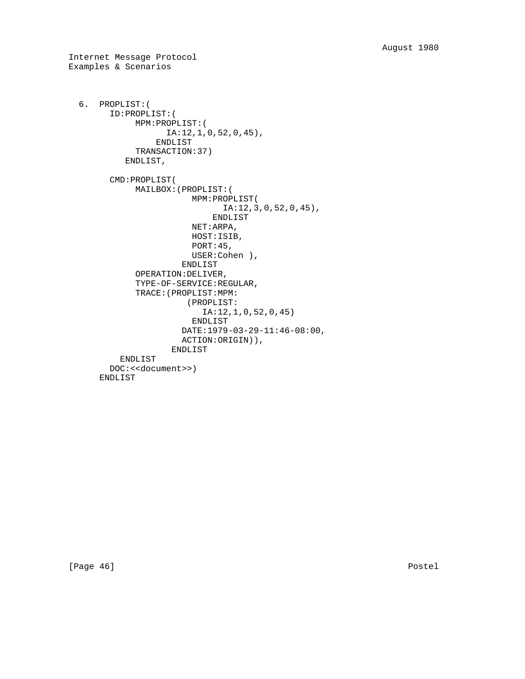Internet Message Protocol Examples & Scenarios

 6. PROPLIST:( ID:PROPLIST:( MPM:PROPLIST:( IA:12,1,0,52,0,45), ENDLIST TRANSACTION:37) ENDLIST, CMD:PROPLIST( MAILBOX:(PROPLIST:( MPM:PROPLIST( IA:12,3,0,52,0,45), ENDLIST NET:ARPA, HOST:ISIB, PORT:45, USER:Cohen ), ENDLIST OPERATION:DELIVER, TYPE-OF-SERVICE:REGULAR, TRACE:(PROPLIST:MPM: (PROPLIST: IA:12,1,0,52,0,45) ENDLIST DATE:1979-03-29-11:46-08:00, ACTION:ORIGIN)), ENDLIST ENDLIST DOC:<<document>>) ENDLIST

[Page 46] Postel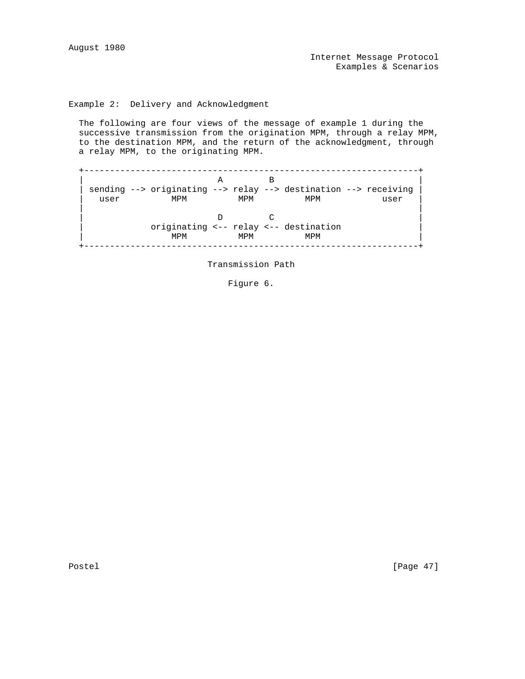Example 2: Delivery and Acknowledgment

 The following are four views of the message of example 1 during the successive transmission from the origination MPM, through a relay MPM, to the destination MPM, and the return of the acknowledgment, through a relay MPM, to the originating MPM.

 +-----------------------------------------------------------------+ A B | sending --> originating --> relay --> destination --> receiving | user MPM MPM MPM MPM user | | | D C | originating <-- relay <-- destination | MPM MPM MPM | +-----------------------------------------------------------------+

Transmission Path

Figure 6.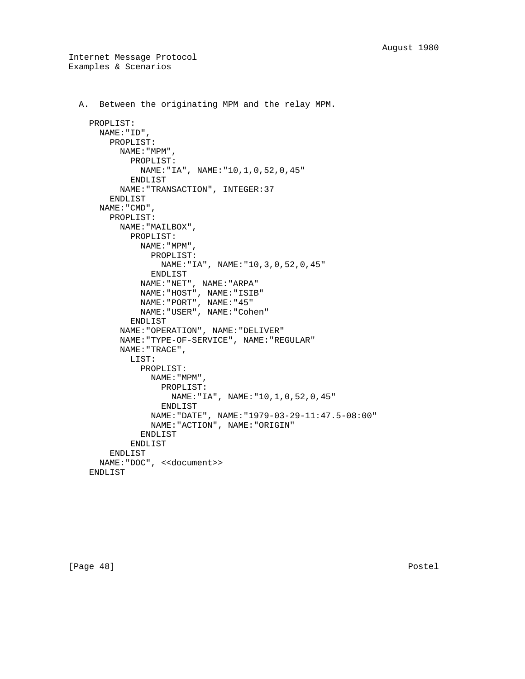```
Internet Message Protocol
Examples & Scenarios
```
 A. Between the originating MPM and the relay MPM. PROPLIST: NAME:"ID", PROPLIST: NAME:"MPM", PROPLIST: NAME:"IA", NAME:"10,1,0,52,0,45" ENDLIST NAME:"TRANSACTION", INTEGER:37 ENDLIST NAME:"CMD", PROPLIST: NAME:"MAILBOX", PROPLIST: NAME:"MPM", PROPLIST: NAME:"IA", NAME:"10,3,0,52,0,45" ENDLIST NAME:"NET", NAME:"ARPA" NAME:"HOST", NAME:"ISIB" NAME:"PORT", NAME:"45" NAME:"USER", NAME:"Cohen" ENDLIST NAME:"OPERATION", NAME:"DELIVER" NAME:"TYPE-OF-SERVICE", NAME:"REGULAR" NAME:"TRACE", LIST: PROPLIST: NAME:"MPM", PROPLIST: NAME:"IA", NAME:"10,1,0,52,0,45" ENDLIST NAME:"DATE", NAME:"1979-03-29-11:47.5-08:00" NAME:"ACTION", NAME:"ORIGIN" ENDLIST ENDLIST ENDLIST NAME:"DOC", <<document>> ENDLIST

[Page 48] Postel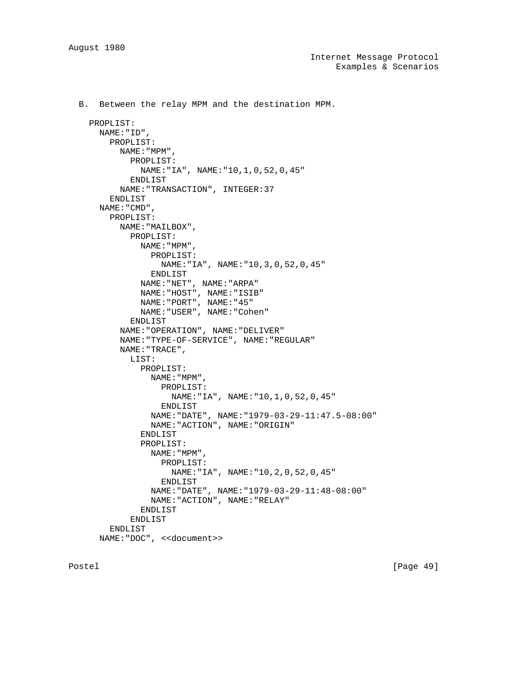```
 B. Between the relay MPM and the destination MPM.
  PROPLIST:
    NAME:"ID",
      PROPLIST:
         NAME:"MPM",
           PROPLIST:
             NAME:"IA", NAME:"10,1,0,52,0,45"
           ENDLIST
         NAME:"TRANSACTION", INTEGER:37
       ENDLIST
     NAME:"CMD",
       PROPLIST:
         NAME:"MAILBOX",
           PROPLIST:
             NAME:"MPM",
               PROPLIST:
                 NAME:"IA", NAME:"10,3,0,52,0,45"
               ENDLIST
             NAME:"NET", NAME:"ARPA"
             NAME:"HOST", NAME:"ISIB"
             NAME:"PORT", NAME:"45"
             NAME:"USER", NAME:"Cohen"
           ENDLIST
         NAME:"OPERATION", NAME:"DELIVER"
         NAME:"TYPE-OF-SERVICE", NAME:"REGULAR"
         NAME:"TRACE",
           LIST:
             PROPLIST:
               NAME:"MPM",
                 PROPLIST:
                   NAME:"IA", NAME:"10,1,0,52,0,45"
                 ENDLIST
               NAME:"DATE", NAME:"1979-03-29-11:47.5-08:00"
               NAME:"ACTION", NAME:"ORIGIN"
             ENDLIST
             PROPLIST:
               NAME:"MPM",
                 PROPLIST:
                   NAME:"IA", NAME:"10,2,0,52,0,45"
                 ENDLIST
               NAME:"DATE", NAME:"1979-03-29-11:48-08:00"
               NAME:"ACTION", NAME:"RELAY"
             ENDLIST
           ENDLIST
       ENDLIST
     NAME:"DOC", <<document>>
```
Postel [Page 49]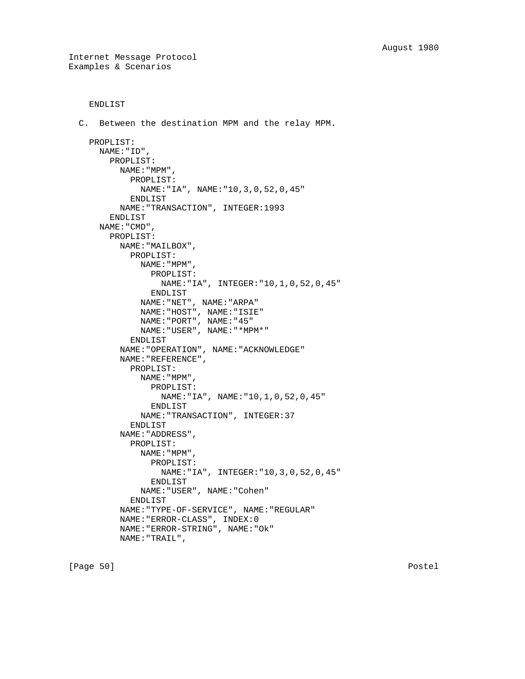```
Internet Message Protocol
Examples & Scenarios
     ENDLIST
   C. Between the destination MPM and the relay MPM.
     PROPLIST:
       NAME:"ID",
         PROPLIST:
           NAME:"MPM",
             PROPLIST:
               NAME:"IA", NAME:"10,3,0,52,0,45"
             ENDLIST
           NAME:"TRANSACTION", INTEGER:1993
         ENDLIST
       NAME:"CMD",
         PROPLIST:
           NAME:"MAILBOX",
             PROPLIST:
               NAME:"MPM",
                  PROPLIST:
                   NAME:"IA", INTEGER:"10,1,0,52,0,45"
                 ENDLIST
               NAME:"NET", NAME:"ARPA"
               NAME:"HOST", NAME:"ISIE"
               NAME:"PORT", NAME:"45"
               NAME:"USER", NAME:"*MPM*"
             ENDLIST
           NAME:"OPERATION", NAME:"ACKNOWLEDGE"
           NAME:"REFERENCE",
             PROPLIST:
               NAME:"MPM",
                 PROPLIST:
                   NAME:"IA", NAME:"10,1,0,52,0,45"
                 ENDLIST
               NAME:"TRANSACTION", INTEGER:37
             ENDLIST
           NAME:"ADDRESS",
             PROPLIST:
               NAME:"MPM",
                 PROPLIST:
                   NAME:"IA", INTEGER:"10,3,0,52,0,45"
                  ENDLIST
               NAME:"USER", NAME:"Cohen"
             ENDLIST
           NAME:"TYPE-OF-SERVICE", NAME:"REGULAR"
           NAME:"ERROR-CLASS", INDEX:0
           NAME:"ERROR-STRING", NAME:"Ok"
           NAME:"TRAIL",
```
[Page 50] Postel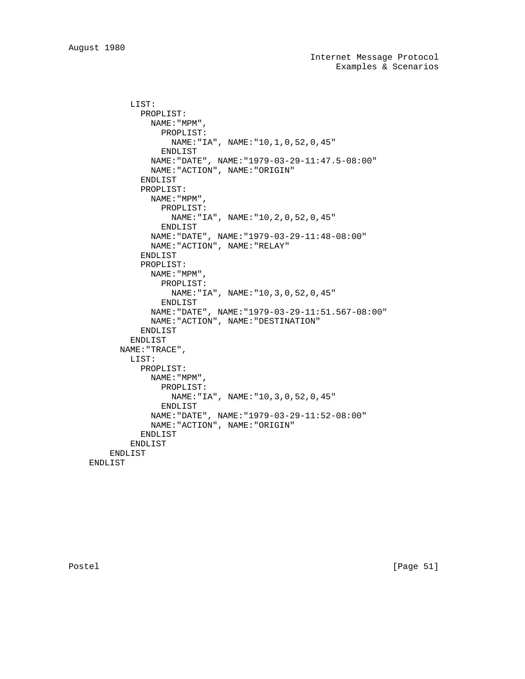LIST: PROPLIST: NAME:"MPM", PROPLIST: NAME:"IA", NAME:"10,1,0,52,0,45" ENDLIST NAME:"DATE", NAME:"1979-03-29-11:47.5-08:00" NAME:"ACTION", NAME:"ORIGIN" ENDLIST PROPLIST: NAME:"MPM", PROPLIST: NAME:"IA", NAME:"10,2,0,52,0,45" ENDLIST NAME:"DATE", NAME:"1979-03-29-11:48-08:00" NAME:"ACTION", NAME:"RELAY" ENDLIST PROPLIST: NAME:"MPM", PROPLIST: NAME:"IA", NAME:"10,3,0,52,0,45" ENDLIST NAME:"DATE", NAME:"1979-03-29-11:51.567-08:00" NAME:"ACTION", NAME:"DESTINATION" ENDLIST ENDLIST NAME:"TRACE", LIST: PROPLIST: NAME:"MPM", PROPLIST: NAME:"IA", NAME:"10,3,0,52,0,45" ENDLIST NAME:"DATE", NAME:"1979-03-29-11:52-08:00" NAME:"ACTION", NAME:"ORIGIN" ENDLIST ENDLIST ENDLIST ENDLIST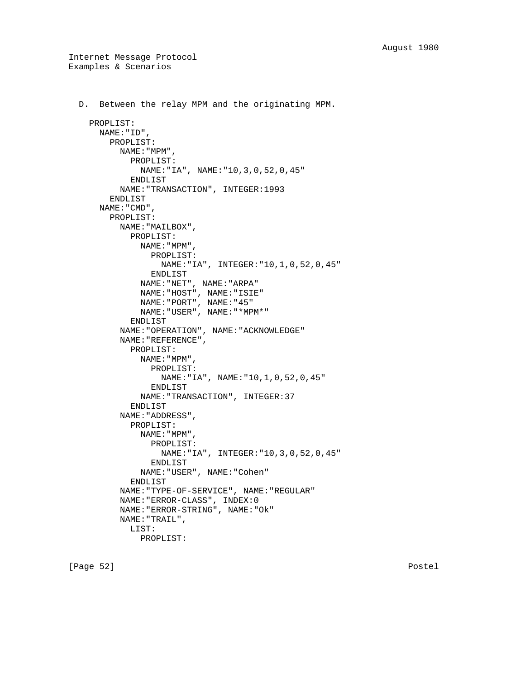```
Internet Message Protocol
Examples & Scenarios
```
 D. Between the relay MPM and the originating MPM. PROPLIST: NAME:"ID", PROPLIST: NAME:"MPM", PROPLIST: NAME:"IA", NAME:"10,3,0,52,0,45" ENDLIST NAME:"TRANSACTION", INTEGER:1993 ENDLIST NAME:"CMD", PROPLIST: NAME:"MAILBOX", PROPLIST: NAME:"MPM", PROPLIST: NAME:"IA", INTEGER:"10,1,0,52,0,45" ENDLIST NAME:"NET", NAME:"ARPA" NAME:"HOST", NAME:"ISIE" NAME:"PORT", NAME:"45" NAME:"USER", NAME:"\*MPM\*" ENDLIST NAME:"OPERATION", NAME:"ACKNOWLEDGE" NAME:"REFERENCE", PROPLIST: NAME:"MPM", PROPLIST: NAME:"IA", NAME:"10,1,0,52,0,45" ENDLIST NAME:"TRANSACTION", INTEGER:37 ENDLIST NAME:"ADDRESS", PROPLIST: NAME:"MPM", PROPLIST: NAME:"IA", INTEGER:"10,3,0,52,0,45" ENDLIST NAME:"USER", NAME:"Cohen" ENDLIST NAME:"TYPE-OF-SERVICE", NAME:"REGULAR" NAME:"ERROR-CLASS", INDEX:0 NAME:"ERROR-STRING", NAME:"Ok" NAME:"TRAIL", LIST: PROPLIST:

[Page 52] Postel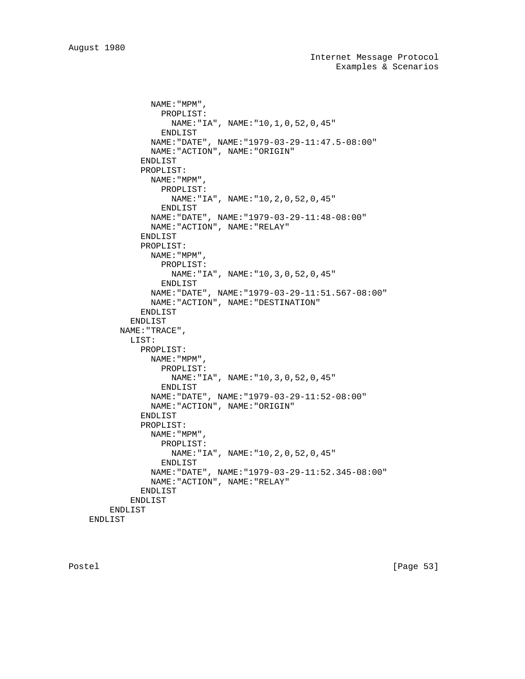```
 NAME:"MPM",
               PROPLIST:
                 NAME:"IA", NAME:"10,1,0,52,0,45"
               ENDLIST
             NAME:"DATE", NAME:"1979-03-29-11:47.5-08:00"
             NAME:"ACTION", NAME:"ORIGIN"
           ENDLIST
           PROPLIST:
             NAME:"MPM",
               PROPLIST:
                 NAME:"IA", NAME:"10,2,0,52,0,45"
               ENDLIST
             NAME:"DATE", NAME:"1979-03-29-11:48-08:00"
             NAME:"ACTION", NAME:"RELAY"
           ENDLIST
           PROPLIST:
             NAME:"MPM",
               PROPLIST:
                 NAME:"IA", NAME:"10,3,0,52,0,45"
               ENDLIST
             NAME:"DATE", NAME:"1979-03-29-11:51.567-08:00"
             NAME:"ACTION", NAME:"DESTINATION"
           ENDLIST
         ENDLIST
       NAME:"TRACE",
         LIST:
           PROPLIST:
             NAME:"MPM",
               PROPLIST:
                 NAME:"IA", NAME:"10,3,0,52,0,45"
               ENDLIST
             NAME:"DATE", NAME:"1979-03-29-11:52-08:00"
             NAME:"ACTION", NAME:"ORIGIN"
           ENDLIST
           PROPLIST:
             NAME:"MPM",
               PROPLIST:
                 NAME:"IA", NAME:"10,2,0,52,0,45"
               ENDLIST
             NAME:"DATE", NAME:"1979-03-29-11:52.345-08:00"
             NAME:"ACTION", NAME:"RELAY"
           ENDLIST
         ENDLIST
     ENDLIST
 ENDLIST
```
Postel [Page 53]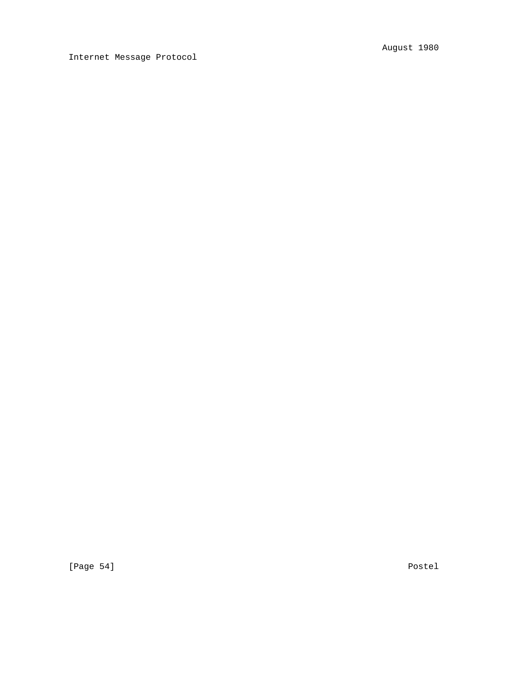August 1980

Internet Message Protocol

[Page 54] Postel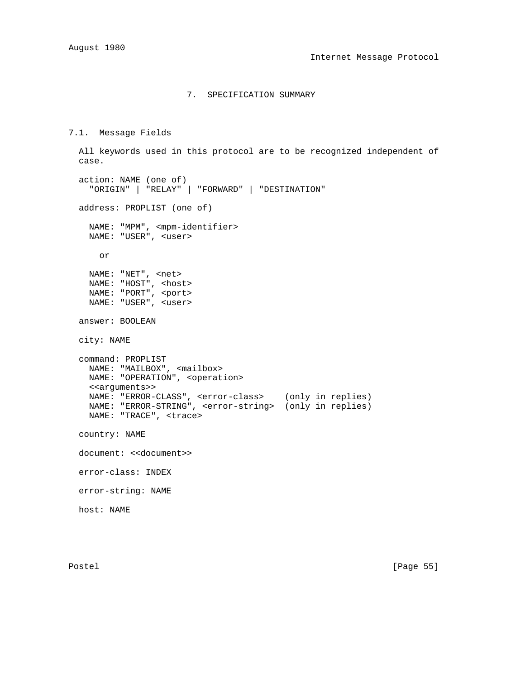# 7. SPECIFICATION SUMMARY

7.1. Message Fields All keywords used in this protocol are to be recognized independent of case. action: NAME (one of) "ORIGIN" | "RELAY" | "FORWARD" | "DESTINATION" address: PROPLIST (one of) NAME: "MPM", <mpm-identifier> NAME: "USER", <user> or NAME: "NET", <net> NAME: "HOST", <host> NAME: "PORT", <port> NAME: "USER", <user> answer: BOOLEAN city: NAME command: PROPLIST NAME: "MAILBOX", <mailbox> NAME: "OPERATION", <operation> <<arguments>> NAME: "ERROR-CLASS", <error-class> (only in replies) NAME: "ERROR-STRING", <error-string> (only in replies) NAME: "TRACE", <trace> country: NAME document: <<document>> error-class: INDEX error-string: NAME host: NAME

Postel [Page 55]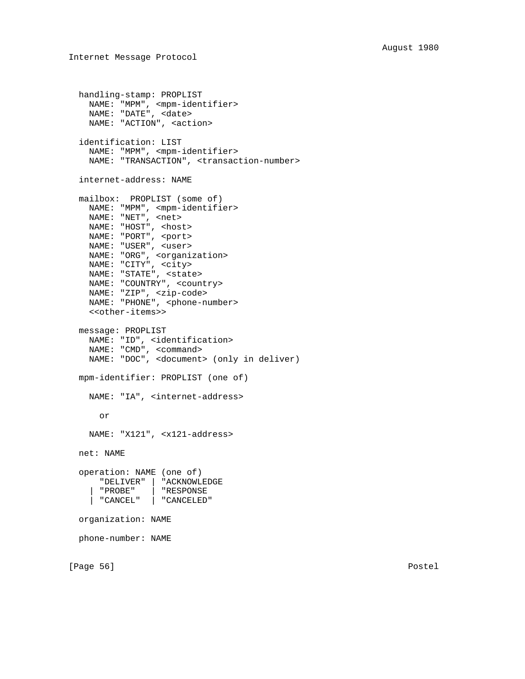handling-stamp: PROPLIST NAME: "MPM", <mpm-identifier> NAME: "DATE", <date> NAME: "ACTION", <action> identification: LIST NAME: "MPM", <mpm-identifier> NAME: "TRANSACTION", <transaction-number> internet-address: NAME mailbox: PROPLIST (some of) NAME: "MPM", <mpm-identifier> NAME: "NET", <net> NAME: "HOST", <host> NAME: "PORT", <port> NAME: "USER", <user> NAME: "ORG", <organization> NAME: "CITY", <city> NAME: "STATE", <state> NAME: "COUNTRY", <country> NAME: "ZIP", <zip-code> NAME: "PHONE", <phone-number> <<other-items>> message: PROPLIST NAME: "ID", <identification> NAME: "CMD", <command> NAME: "DOC", <document> (only in deliver) mpm-identifier: PROPLIST (one of) NAME: "IA", <internet-address> or NAME: "X121", <x121-address> net: NAME operation: NAME (one of) "DELIVER" | "ACKNOWLEDGE | "PROBE" | "RESPONSE | "CANCEL" | "CANCELED" organization: NAME phone-number: NAME [Page 56] Postel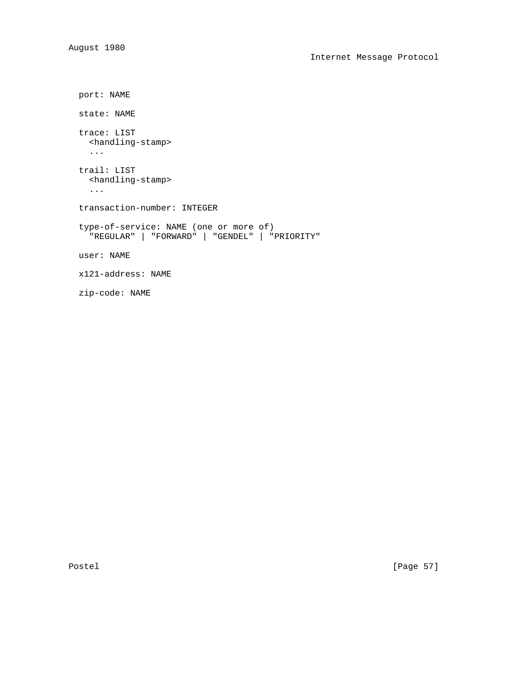port: NAME state: NAME trace: LIST <handling-stamp> ... trail: LIST <handling-stamp> ... transaction-number: INTEGER type-of-service: NAME (one or more of) "REGULAR" | "FORWARD" | "GENDEL" | "PRIORITY" user: NAME x121-address: NAME zip-code: NAME

Postel [Page 57]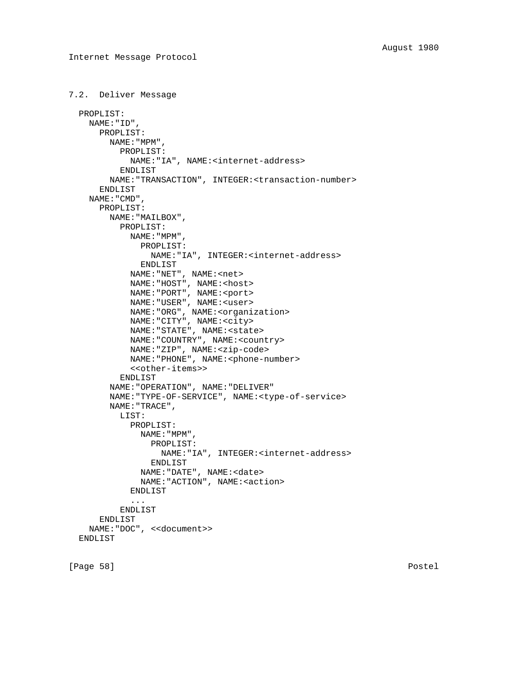```
7.2. Deliver Message
  PROPLIST:
    NAME:"ID",
      PROPLIST:
         NAME:"MPM",
           PROPLIST:
             NAME:"IA", NAME:<internet-address>
           ENDLIST
         NAME:"TRANSACTION", INTEGER:<transaction-number>
       ENDLIST
    NAME:"CMD",
       PROPLIST:
         NAME:"MAILBOX",
           PROPLIST:
             NAME:"MPM",
               PROPLIST:
                 NAME:"IA", INTEGER:<internet-address>
               ENDLIST
            NAME: "NET", NAME: < net >
             NAME:"HOST", NAME:<host>
            NAME: "PORT", NAME: < port>
 NAME:"USER", NAME:<user>
 NAME:"ORG", NAME:<organization>
            NAME: "CITY", NAME: < city>
            NAME: "STATE", NAME: < state>
             NAME:"COUNTRY", NAME:<country>
             NAME:"ZIP", NAME:<zip-code>
            NAME: "PHONE", NAME: < phone-number>
             <<other-items>>
           ENDLIST
         NAME:"OPERATION", NAME:"DELIVER"
         NAME:"TYPE-OF-SERVICE", NAME:<type-of-service>
         NAME:"TRACE",
           LIST:
             PROPLIST:
               NAME:"MPM",
                 PROPLIST:
                   NAME:"IA", INTEGER:<internet-address>
                 ENDLIST
               NAME:"DATE", NAME:<date>
               NAME:"ACTION", NAME:<action>
             ENDLIST
             ...
           ENDLIST
       ENDLIST
    NAME:"DOC", <<document>>
   ENDLIST
```
[Page 58] Postel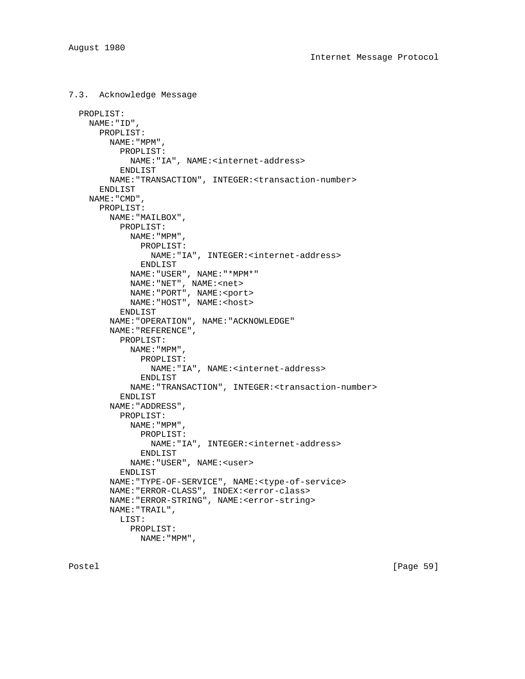```
7.3. Acknowledge Message
   PROPLIST:
     NAME:"ID",
      PROPLIST:
         NAME:"MPM",
           PROPLIST:
             NAME:"IA", NAME:<internet-address>
           ENDLIST
         NAME:"TRANSACTION", INTEGER:<transaction-number>
       ENDLIST
     NAME:"CMD",
       PROPLIST:
         NAME:"MAILBOX",
           PROPLIST:
             NAME:"MPM",
               PROPLIST:
                 NAME:"IA", INTEGER:<internet-address>
               ENDLIST
             NAME:"USER", NAME:"*MPM*"
            NAME: "NET", NAME: <net>
            NAME: "PORT", NAME: <port>
            NAME: "HOST", NAME: <host>
           ENDLIST
         NAME:"OPERATION", NAME:"ACKNOWLEDGE"
         NAME:"REFERENCE",
           PROPLIST:
             NAME:"MPM",
               PROPLIST:
                 NAME:"IA", NAME:<internet-address>
               ENDLIST
             NAME:"TRANSACTION", INTEGER:<transaction-number>
           ENDLIST
         NAME:"ADDRESS",
           PROPLIST:
             NAME:"MPM",
               PROPLIST:
                 NAME:"IA", INTEGER:<internet-address>
               ENDLIST
             NAME:"USER", NAME:<user>
           ENDLIST
         NAME:"TYPE-OF-SERVICE", NAME:<type-of-service>
         NAME:"ERROR-CLASS", INDEX:<error-class>
         NAME:"ERROR-STRING", NAME:<error-string>
         NAME:"TRAIL",
           LIST:
             PROPLIST:
               NAME:"MPM",
```
Postel [Page 59]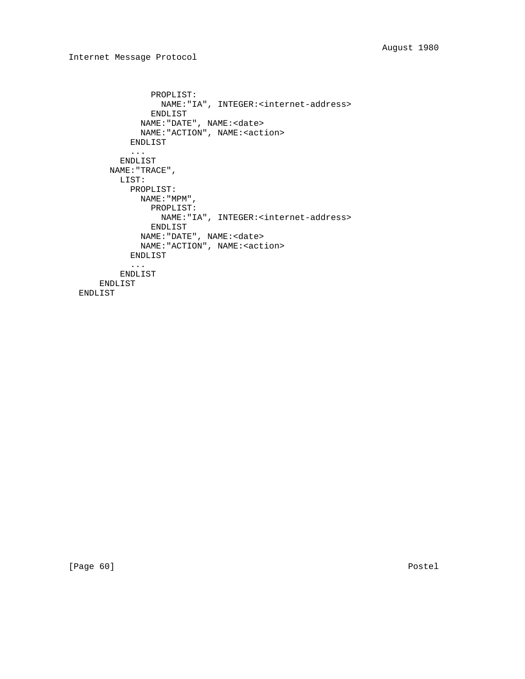```
 PROPLIST:
                 NAME:"IA", INTEGER:<internet-address>
               ENDLIST
             NAME:"DATE", NAME:<date>
            NAME: "ACTION", NAME:<action>
           ENDLIST
           ...
         ENDLIST
       NAME:"TRACE",
         LIST:
           PROPLIST:
             NAME:"MPM",
              PROPLIST:
                 NAME:"IA", INTEGER:<internet-address>
               ENDLIST
             NAME:"DATE", NAME:<date>
             NAME:"ACTION", NAME:<action>
           ENDLIST
           ...
         ENDLIST
     ENDLIST
 ENDLIST
```
[Page 60] Postel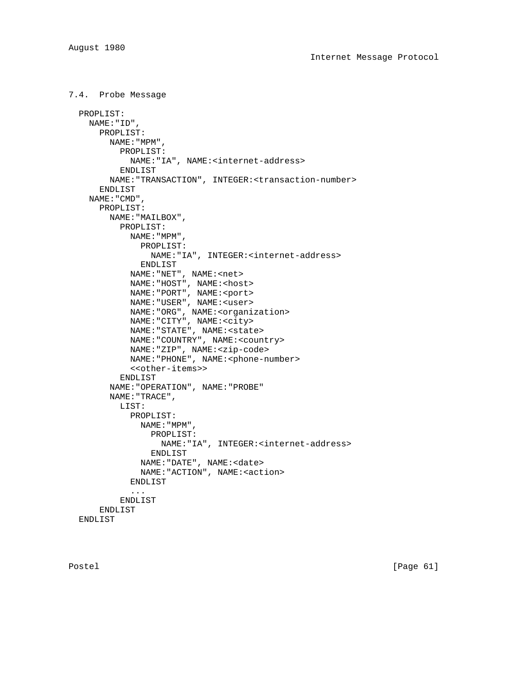```
7.4. Probe Message
  PROPLIST:
    NAME:"ID",
      PROPLIST:
         NAME:"MPM",
           PROPLIST:
            NAME:"IA", NAME:<internet-address>
           ENDLIST
         NAME:"TRANSACTION", INTEGER:<transaction-number>
       ENDLIST
    NAME:"CMD",
      PROPLIST:
         NAME:"MAILBOX",
           PROPLIST:
            NAME:"MPM",
              PROPLIST:
                 NAME:"IA", INTEGER:<internet-address>
               ENDLIST
            NAME: "NET", NAME: < net >
            NAME: "HOST", NAME: <host>
            NAME: "PORT", NAME: < port>
 NAME:"USER", NAME:<user>
 NAME:"ORG", NAME:<organization>
             NAME:"CITY", NAME:<city>
            NAME: "STATE", NAME: < state>
             NAME:"COUNTRY", NAME:<country>
            NAME:"ZIP", NAME:<zip-code>
           NAME: "PHONE", NAME: <phone-number>
             <<other-items>>
           ENDLIST
         NAME:"OPERATION", NAME:"PROBE"
         NAME:"TRACE",
           LIST:
             PROPLIST:
               NAME:"MPM",
                 PROPLIST:
                   NAME:"IA", INTEGER:<internet-address>
                 ENDLIST
               NAME:"DATE", NAME:<date>
               NAME:"ACTION", NAME:<action>
             ENDLIST
             ...
           ENDLIST
       ENDLIST
   ENDLIST
```
Postel [Page 61]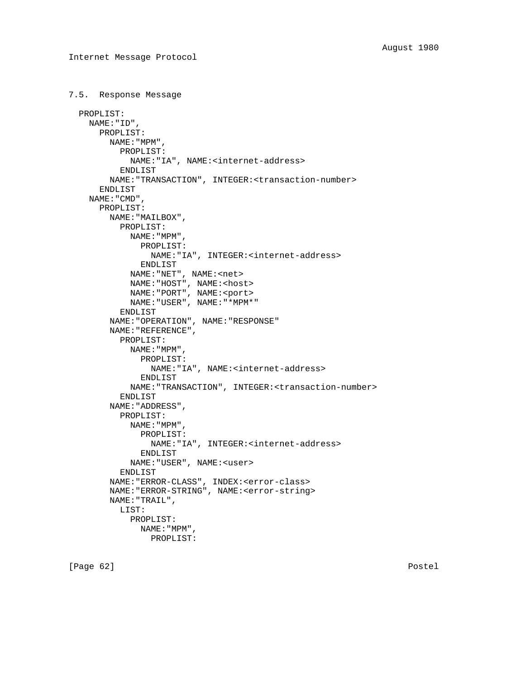```
7.5. Response Message
   PROPLIST:
     NAME:"ID",
      PROPLIST:
         NAME:"MPM",
           PROPLIST:
             NAME:"IA", NAME:<internet-address>
           ENDLIST
         NAME:"TRANSACTION", INTEGER:<transaction-number>
       ENDLIST
     NAME:"CMD",
       PROPLIST:
         NAME:"MAILBOX",
           PROPLIST:
             NAME:"MPM",
               PROPLIST:
                 NAME:"IA", INTEGER:<internet-address>
               ENDLIST
            NAME: "NET", NAME: <net>
             NAME:"HOST", NAME:<host>
            NAME: "PORT", NAME: < port>
             NAME:"USER", NAME:"*MPM*"
           ENDLIST
         NAME:"OPERATION", NAME:"RESPONSE"
         NAME:"REFERENCE",
           PROPLIST:
             NAME:"MPM",
               PROPLIST:
                 NAME:"IA", NAME:<internet-address>
               ENDLIST
             NAME:"TRANSACTION", INTEGER:<transaction-number>
           ENDLIST
         NAME:"ADDRESS",
           PROPLIST:
             NAME:"MPM",
               PROPLIST:
                 NAME:"IA", INTEGER:<internet-address>
               ENDLIST
             NAME:"USER", NAME:<user>
           ENDLIST
         NAME:"ERROR-CLASS", INDEX:<error-class>
         NAME:"ERROR-STRING", NAME:<error-string>
         NAME:"TRAIL",
           LIST:
             PROPLIST:
               NAME:"MPM",
                  PROPLIST:
```
[Page 62] Postel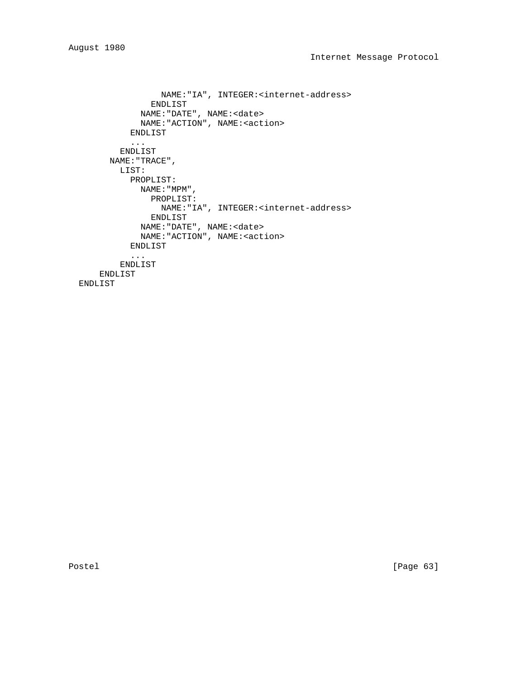```
 NAME:"IA", INTEGER:<internet-address>
               ENDLIST
             NAME:"DATE", NAME:<date>
             NAME:"ACTION", NAME:<action>
           ENDLIST
           ...
         ENDLIST
       NAME:"TRACE",
        LIST:
           PROPLIST:
            NAME:"MPM",
              PROPLIST:
                 NAME:"IA", INTEGER:<internet-address>
              ENDLIST
             NAME:"DATE", NAME:<date>
            NAME:"ACTION", NAME:<action>
           ENDLIST
           ...
         ENDLIST
    ENDLIST
 ENDLIST
```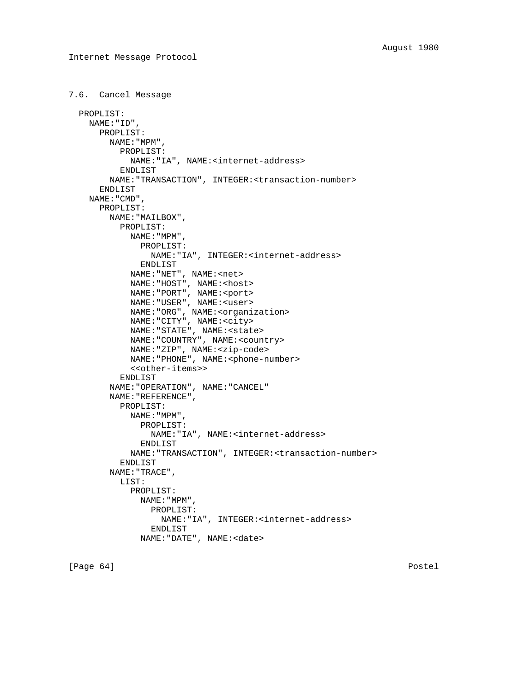```
7.6. Cancel Message
  PROPLIST:
    NAME:"ID",
      PROPLIST:
         NAME:"MPM",
           PROPLIST:
            NAME:"IA", NAME:<internet-address>
           ENDLIST
         NAME:"TRANSACTION", INTEGER:<transaction-number>
       ENDLIST
    NAME:"CMD",
       PROPLIST:
         NAME:"MAILBOX",
           PROPLIST:
             NAME:"MPM",
               PROPLIST:
                 NAME:"IA", INTEGER:<internet-address>
               ENDLIST
            NAME: "NET", NAME: < net >
             NAME:"HOST", NAME:<host>
            NAME: "PORT", NAME: < port>
 NAME:"USER", NAME:<user>
 NAME:"ORG", NAME:<organization>
            NAME: "CITY", NAME: < city>
            NAME: "STATE", NAME: < state>
             NAME:"COUNTRY", NAME:<country>
             NAME:"ZIP", NAME:<zip-code>
            NAME: "PHONE", NAME: < phone-number>
             <<other-items>>
           ENDLIST
         NAME:"OPERATION", NAME:"CANCEL"
         NAME:"REFERENCE",
           PROPLIST:
             NAME:"MPM",
               PROPLIST:
                 NAME:"IA", NAME:<internet-address>
               ENDLIST
            NAME: "TRANSACTION", INTEGER: < transaction-number>
           ENDLIST
         NAME:"TRACE",
           LIST:
             PROPLIST:
               NAME:"MPM",
                 PROPLIST:
                   NAME:"IA", INTEGER:<internet-address>
                 ENDLIST
               NAME:"DATE", NAME:<date>
```
[Page 64] Postel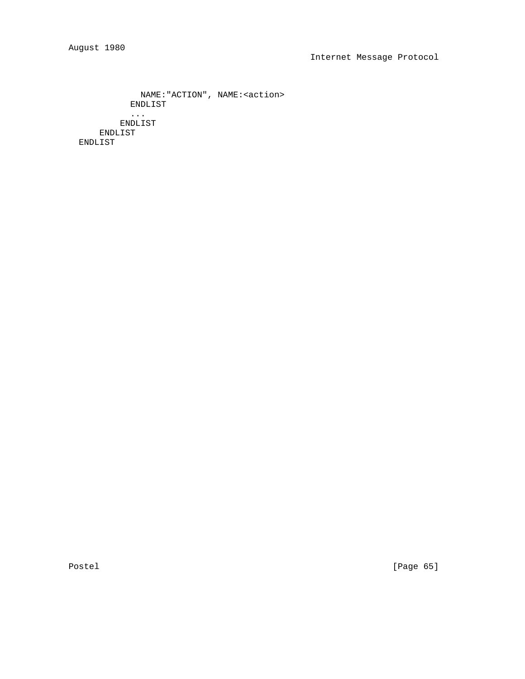```
 NAME:"ACTION", NAME:<action>
          ENDLIST
           ...
         ENDLIST
     ENDLIST
 ENDLIST
```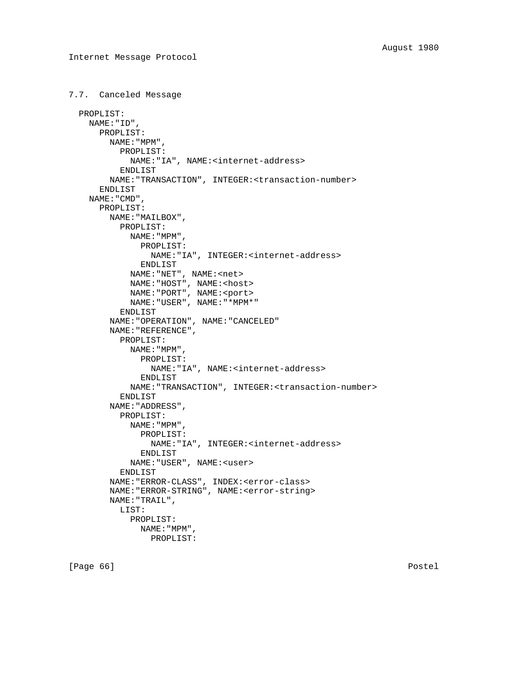```
7.7. Canceled Message
   PROPLIST:
     NAME:"ID",
      PROPLIST:
         NAME:"MPM",
           PROPLIST:
             NAME:"IA", NAME:<internet-address>
           ENDLIST
         NAME:"TRANSACTION", INTEGER:<transaction-number>
       ENDLIST
     NAME:"CMD",
       PROPLIST:
         NAME:"MAILBOX",
           PROPLIST:
             NAME:"MPM",
               PROPLIST:
                 NAME:"IA", INTEGER:<internet-address>
               ENDLIST
            NAME: "NET", NAME: <net>
             NAME:"HOST", NAME:<host>
            NAME: "PORT", NAME: < port>
             NAME:"USER", NAME:"*MPM*"
           ENDLIST
         NAME:"OPERATION", NAME:"CANCELED"
         NAME:"REFERENCE",
           PROPLIST:
             NAME:"MPM",
               PROPLIST:
                 NAME:"IA", NAME:<internet-address>
               ENDLIST
             NAME:"TRANSACTION", INTEGER:<transaction-number>
           ENDLIST
         NAME:"ADDRESS",
           PROPLIST:
             NAME:"MPM",
               PROPLIST:
                 NAME:"IA", INTEGER:<internet-address>
               ENDLIST
             NAME:"USER", NAME:<user>
           ENDLIST
         NAME:"ERROR-CLASS", INDEX:<error-class>
         NAME:"ERROR-STRING", NAME:<error-string>
         NAME:"TRAIL",
           LIST:
             PROPLIST:
               NAME:"MPM",
                  PROPLIST:
```
[Page 66] Postel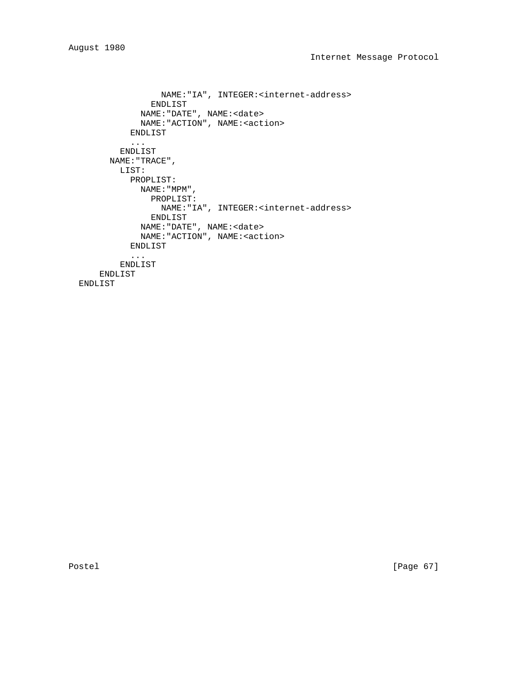```
 NAME:"IA", INTEGER:<internet-address>
              ENDLIST
            NAME:"DATE", NAME:<date>
            NAME:"ACTION", NAME:<action>
          ENDLIST
          ...
        ENDLIST
      NAME:"TRACE",
       LIST:
          PROPLIST:
           NAME:"MPM",
             PROPLIST:
                NAME:"IA", INTEGER:<internet-address>
             ENDLIST
            NAME:"DATE", NAME:<date>
           NAME:"ACTION", NAME:<action>
          ENDLIST
          ...
        ENDLIST
   ENDLIST
ENDLIST
```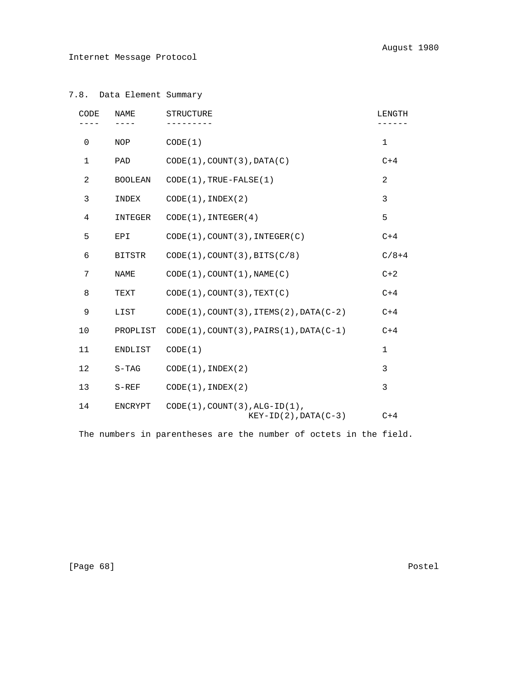## 7.8. Data Element Summary

| CODE     | NAME           | STRUCTURE                                                           | LENGTH  |
|----------|----------------|---------------------------------------------------------------------|---------|
|          |                |                                                                     |         |
| $\Omega$ | <b>NOP</b>     | CODE(1)                                                             | 1       |
| 1        | PAD            | $CODE(1)$ , $COUNT(3)$ , $DATA(C)$                                  | $C+4$   |
| 2        | <b>BOOLEAN</b> | $CODE(1)$ , $TRUE-FALSE(1)$                                         | 2       |
| 3        | INDEX          | $CODE(1)$ , $INDEX(2)$                                              | 3       |
| 4        | INTEGER        | $CODE(1)$ , INTEGER $(4)$                                           | 5       |
| 5        | <b>EPI</b>     | $CODE(1)$ , $COUNT(3)$ , $INTER(C)$                                 | $C+4$   |
| 6        | BITSTR         | $CODE(1)$ , $COUNT(3)$ , $BITS(C/8)$                                | $C/8+4$ |
| 7        | <b>NAME</b>    | $CODE(1)$ , $COUNT(1)$ , $NAME(C)$                                  | $C+2$   |
| 8        | TEXT           | $CODE(1)$ , $COUNT(3)$ , $TEXT(C)$                                  | $C+4$   |
| 9        | LIST           | $CODE(1)$ , $COUNT(3)$ , $ITER(S(2)$ , $DATA(C-2)$                  | $C+4$   |
| 10       | PROPLIST       | $CODE(1)$ , $COUNT(3)$ , $PAIRS(1)$ , $DATA(C-1)$                   | $C+4$   |
| 11       | ENDLIST        | CODE(1)                                                             | 1       |
| 12       | $S-TAG$        | $CODE(1)$ , $INDEX(2)$                                              | 3       |
| 13       | $S-REF$        | $CODE(1)$ , $INDEX(2)$                                              | 3       |
| 14       | ENCRYPT        | $CODE(1)$ , $COUNT(3)$ , $ALG-ID(1)$ ,<br>$KEY-ID(2)$ , $DATA(C-3)$ | $C+4$   |

The numbers in parentheses are the number of octets in the field.

[Page 68] Postel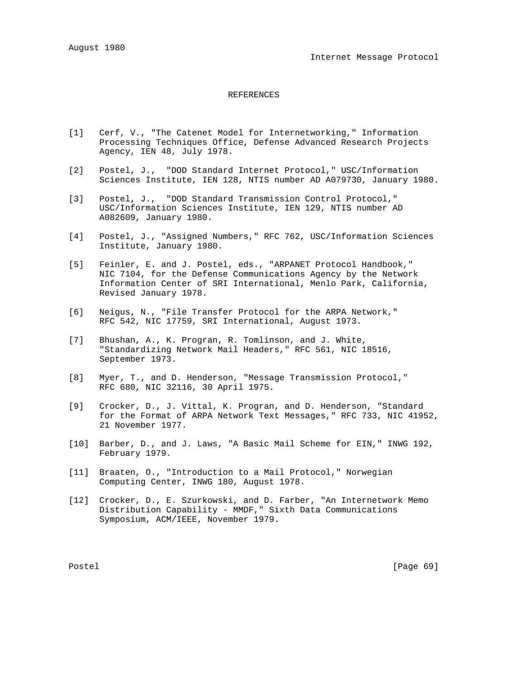## REFERENCES

- [1] Cerf, V., "The Catenet Model for Internetworking," Information Processing Techniques Office, Defense Advanced Research Projects Agency, IEN 48, July 1978.
- [2] Postel, J., "DOD Standard Internet Protocol," USC/Information Sciences Institute, IEN 128, NTIS number AD A079730, January 1980.
- [3] Postel, J., "DOD Standard Transmission Control Protocol," USC/Information Sciences Institute, IEN 129, NTIS number AD A082609, January 1980.
- [4] Postel, J., "Assigned Numbers," RFC 762, USC/Information Sciences Institute, January 1980.
- [5] Feinler, E. and J. Postel, eds., "ARPANET Protocol Handbook," NIC 7104, for the Defense Communications Agency by the Network Information Center of SRI International, Menlo Park, California, Revised January 1978.
- [6] Neigus, N., "File Transfer Protocol for the ARPA Network," RFC 542, NIC 17759, SRI International, August 1973.
- [7] Bhushan, A., K. Progran, R. Tomlinson, and J. White, "Standardizing Network Mail Headers," RFC 561, NIC 18516, September 1973.
- [8] Myer, T., and D. Henderson, "Message Transmission Protocol," RFC 680, NIC 32116, 30 April 1975.
- [9] Crocker, D., J. Vittal, K. Progran, and D. Henderson, "Standard for the Format of ARPA Network Text Messages," RFC 733, NIC 41952, 21 November 1977.
- [10] Barber, D., and J. Laws, "A Basic Mail Scheme for EIN," INWG 192, February 1979.
- [11] Braaten, O., "Introduction to a Mail Protocol," Norwegian Computing Center, INWG 180, August 1978.
- [12] Crocker, D., E. Szurkowski, and D. Farber, "An Internetwork Memo Distribution Capability - MMDF," Sixth Data Communications Symposium, ACM/IEEE, November 1979.

Postel [Page 69]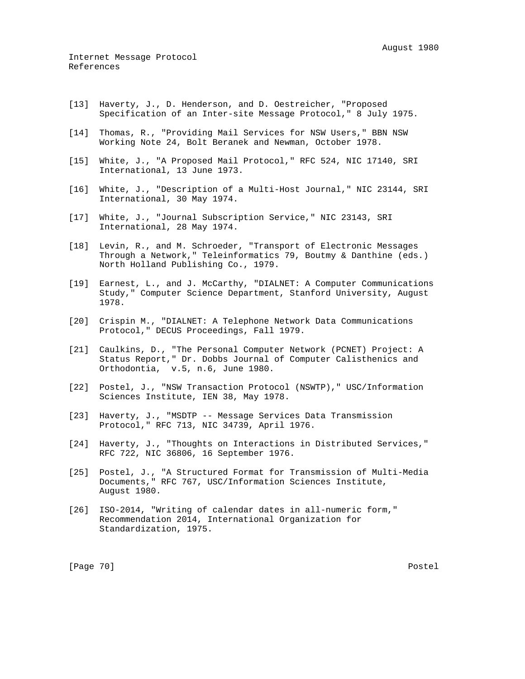- [13] Haverty, J., D. Henderson, and D. Oestreicher, "Proposed Specification of an Inter-site Message Protocol," 8 July 1975.
- [14] Thomas, R., "Providing Mail Services for NSW Users," BBN NSW Working Note 24, Bolt Beranek and Newman, October 1978.
- [15] White, J., "A Proposed Mail Protocol," RFC 524, NIC 17140, SRI International, 13 June 1973.
- [16] White, J., "Description of a Multi-Host Journal," NIC 23144, SRI International, 30 May 1974.
- [17] White, J., "Journal Subscription Service," NIC 23143, SRI International, 28 May 1974.
- [18] Levin, R., and M. Schroeder, "Transport of Electronic Messages Through a Network," Teleinformatics 79, Boutmy & Danthine (eds.) North Holland Publishing Co., 1979.
- [19] Earnest, L., and J. McCarthy, "DIALNET: A Computer Communications Study," Computer Science Department, Stanford University, August 1978.
- [20] Crispin M., "DIALNET: A Telephone Network Data Communications Protocol," DECUS Proceedings, Fall 1979.
- [21] Caulkins, D., "The Personal Computer Network (PCNET) Project: A Status Report," Dr. Dobbs Journal of Computer Calisthenics and Orthodontia, v.5, n.6, June 1980.
- [22] Postel, J., "NSW Transaction Protocol (NSWTP)," USC/Information Sciences Institute, IEN 38, May 1978.
- [23] Haverty, J., "MSDTP -- Message Services Data Transmission Protocol," RFC 713, NIC 34739, April 1976.
- [24] Haverty, J., "Thoughts on Interactions in Distributed Services," RFC 722, NIC 36806, 16 September 1976.
- [25] Postel, J., "A Structured Format for Transmission of Multi-Media Documents," RFC 767, USC/Information Sciences Institute, August 1980.
- [26] ISO-2014, "Writing of calendar dates in all-numeric form," Recommendation 2014, International Organization for Standardization, 1975.

[Page 70] Postel